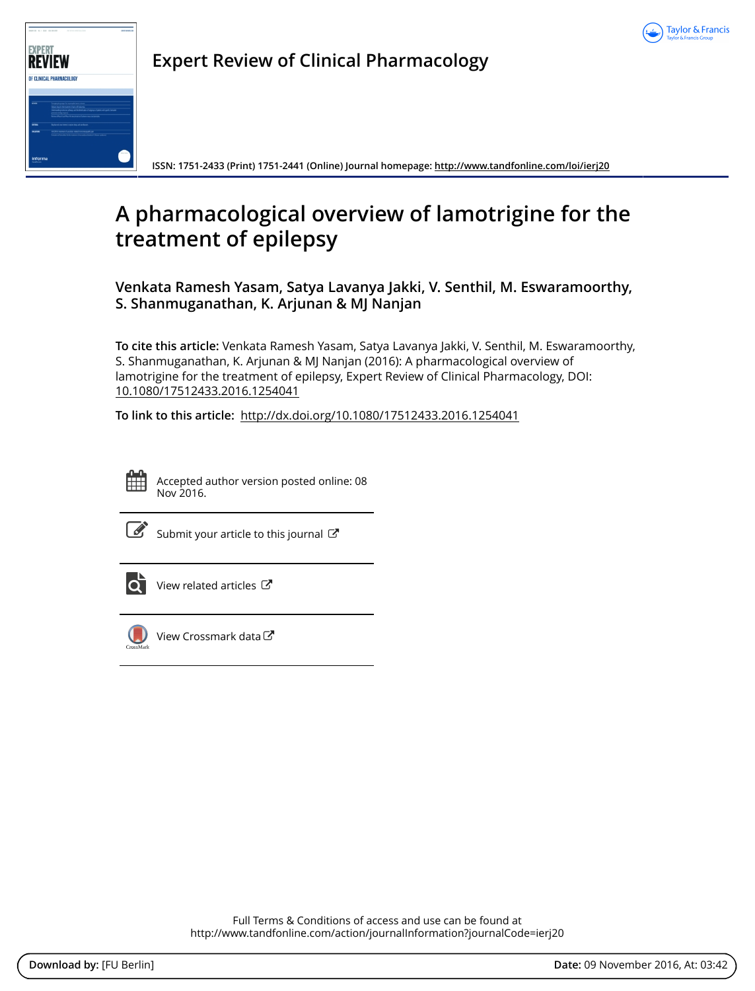



**Expert Review of Clinical Pharmacology**

**ISSN: 1751-2433 (Print) 1751-2441 (Online) Journal homepage:<http://www.tandfonline.com/loi/ierj20>**

# **A pharmacological overview of lamotrigine for the treatment of epilepsy**

**Venkata Ramesh Yasam, Satya Lavanya Jakki, V. Senthil, M. Eswaramoorthy, S. Shanmuganathan, K. Arjunan & MJ Nanjan**

**To cite this article:** Venkata Ramesh Yasam, Satya Lavanya Jakki, V. Senthil, M. Eswaramoorthy, S. Shanmuganathan, K. Arjunan & MJ Nanjan (2016): A pharmacological overview of lamotrigine for the treatment of epilepsy, Expert Review of Clinical Pharmacology, DOI: [10.1080/17512433.2016.1254041](http://www.tandfonline.com/action/showCitFormats?doi=10.1080/17512433.2016.1254041)

**To link to this article:** <http://dx.doi.org/10.1080/17512433.2016.1254041>

|  | - |  |
|--|---|--|
|  |   |  |
|  |   |  |

Accepted author version posted online: 08 Nov 2016.



 $\overline{\mathscr{L}}$  [Submit your article to this journal](http://www.tandfonline.com/action/authorSubmission?journalCode=ierj20&show=instructions)  $\mathbb{Z}$ 



[View related articles](http://www.tandfonline.com/doi/mlt/10.1080/17512433.2016.1254041) 



[View Crossmark data](http://crossmark.crossref.org/dialog/?doi=10.1080/17512433.2016.1254041&domain=pdf&date_stamp=2016-11-08)<sup>で</sup>

Full Terms & Conditions of access and use can be found at <http://www.tandfonline.com/action/journalInformation?journalCode=ierj20>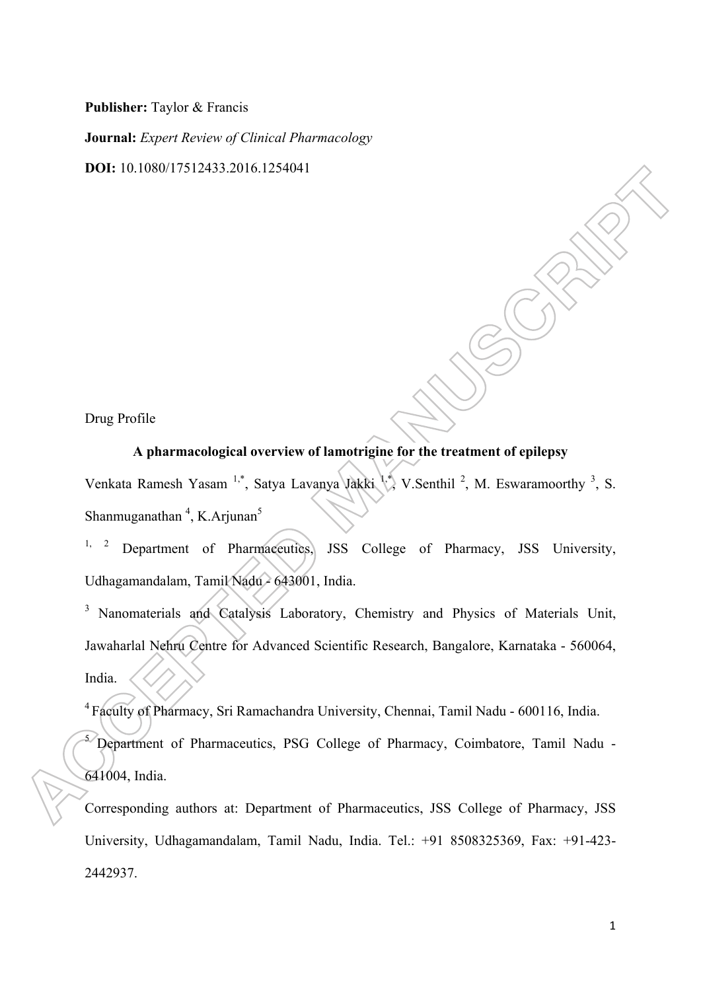**Publisher:** Taylor & Francis

**Journal:** *Expert Review of Clinical Pharmacology* 

**DOI:** 10.1080/17512433.2016.1254041

Drug Profile

# **A pharmacological overview of lamotrigine for the treatment of epilepsy**

Venkata Ramesh Yasam<sup>1,\*</sup>, Satya Lavanya Jakki <sup>1,\*</sup>, V.Senthil<sup>2</sup>, M. Eswaramoorthy<sup>3</sup>, S. Shanmuganathan<sup>4</sup>, K.Arjunan<sup>5</sup>

<sup>1, 2</sup> Department of Pharmaceutics, JSS College of Pharmacy, JSS University, Udhagamandalam, Tamil Nadu - 643001, India.

<sup>3</sup> Nanomaterials and Catalysis Laboratory, Chemistry and Physics of Materials Unit, Jawaharlal Nehru Centre for Advanced Scientific Research, Bangalore, Karnataka - 560064, India.

4 Faculty of Pharmacy, Sri Ramachandra University, Chennai, Tamil Nadu - 600116, India.

<sup>5</sup> Department of Pharmaceutics, PSG College of Pharmacy, Coimbatore, Tamil Nadu -641004, India.

Corresponding authors at: Department of Pharmaceutics, JSS College of Pharmacy, JSS University, Udhagamandalam, Tamil Nadu, India. Tel.: +91 8508325369, Fax: +91-423- 2442937.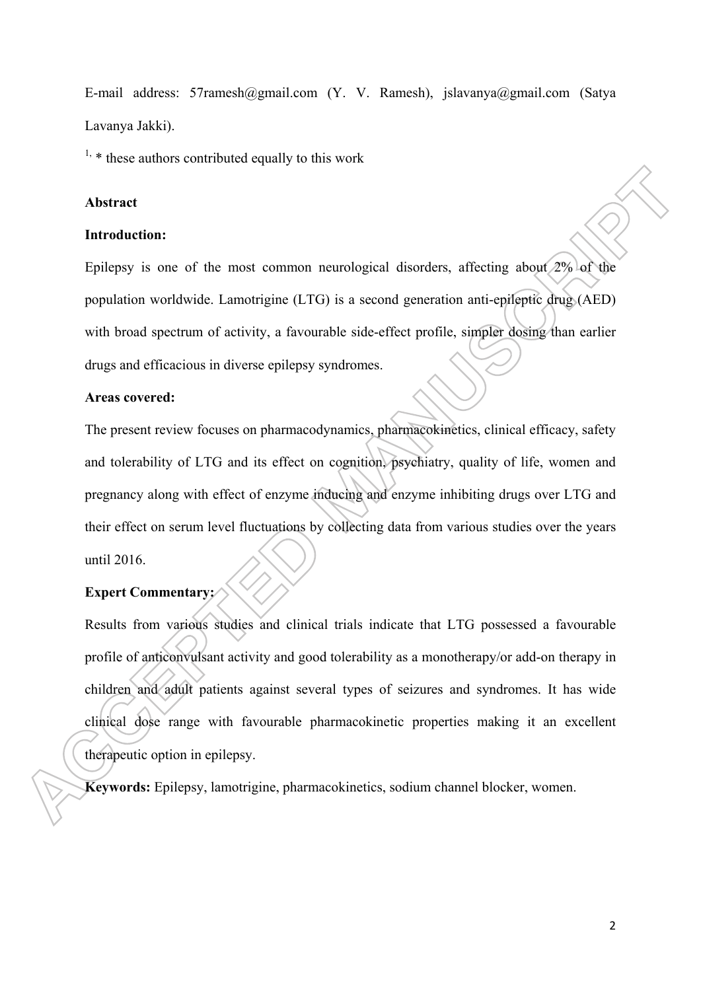E-mail address: 57ramesh@gmail.com (Y. V. Ramesh), jslavanya@gmail.com (Satya Lavanya Jakki).

 $1$ ,  $*$  these authors contributed equally to this work

# **Abstract**

#### **Introduction:**

Epilepsy is one of the most common neurological disorders, affecting about 2% of the population worldwide. Lamotrigine (LTG) is a second generation anti-epileptic drug (AED) with broad spectrum of activity, a favourable side-effect profile, simpler dosing than earlier drugs and efficacious in diverse epilepsy syndromes.

#### **Areas covered:**

The present review focuses on pharmacodynamics, pharmacokinetics, clinical efficacy, safety and tolerability of LTG and its effect on cognition, psychiatry, quality of life, women and pregnancy along with effect of enzyme inducing and enzyme inhibiting drugs over LTG and their effect on serum level fluctuations by collecting data from various studies over the years until 2016.

## **Expert Commentary:**

Results from various studies and clinical trials indicate that LTG possessed a favourable profile of anticonvulsant activity and good tolerability as a monotherapy/or add-on therapy in children and adult patients against several types of seizures and syndromes. It has wide clinical dose range with favourable pharmacokinetic properties making it an excellent therapeutic option in epilepsy.

**Keywords:** Epilepsy, lamotrigine, pharmacokinetics, sodium channel blocker, women.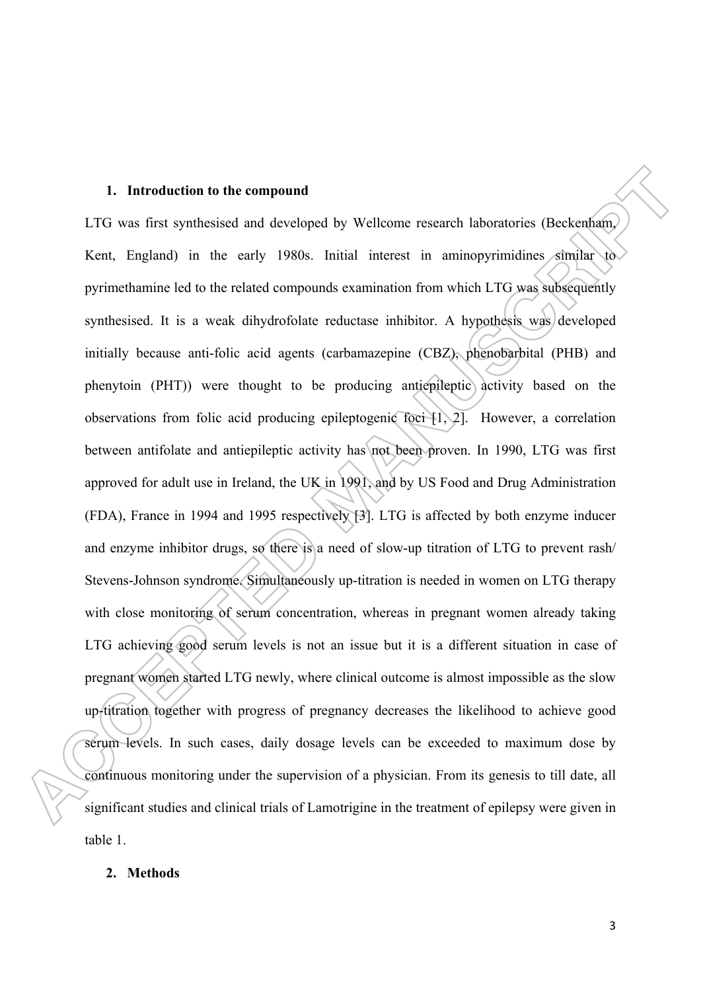#### **1. Introduction to the compound**

LTG was first synthesised and developed by Wellcome research laboratories (Beckenham, Kent, England) in the early 1980s. Initial interest in aminopyrimidines similar to pyrimethamine led to the related compounds examination from which LTG was subsequently synthesised. It is a weak dihydrofolate reductase inhibitor. A hypothesis was developed initially because anti-folic acid agents (carbamazepine (CBZ), phenobarbital (PHB) and phenytoin (PHT)) were thought to be producing antiepileptic activity based on the observations from folic acid producing epileptogenic foci [1, 2]. However, a correlation between antifolate and antiepileptic activity has not been proven. In 1990, LTG was first approved for adult use in Ireland, the UK in 1991, and by US Food and Drug Administration (FDA), France in 1994 and 1995 respectively [3]. LTG is affected by both enzyme inducer and enzyme inhibitor drugs, so there is a need of slow-up titration of LTG to prevent rash/ Stevens-Johnson syndrome. Simultaneously up-titration is needed in women on LTG therapy with close monitoring of serum concentration, whereas in pregnant women already taking LTG achieving good serum levels is not an issue but it is a different situation in case of pregnant women started LTG newly, where clinical outcome is almost impossible as the slow up-titration together with progress of pregnancy decreases the likelihood to achieve good serum levels. In such cases, daily dosage levels can be exceeded to maximum dose by continuous monitoring under the supervision of a physician. From its genesis to till date, all significant studies and clinical trials of Lamotrigine in the treatment of epilepsy were given in table 1.

#### **2. Methods**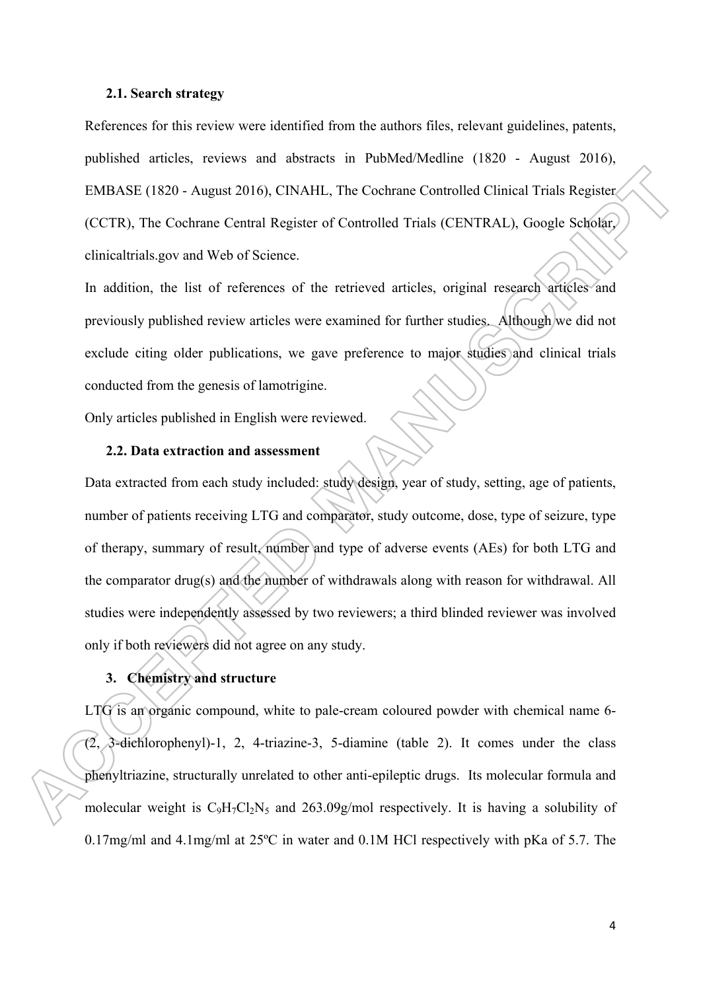#### **2.1. Search strategy**

References for this review were identified from the authors files, relevant guidelines, patents, published articles, reviews and abstracts in PubMed/Medline (1820 - August 2016), EMBASE (1820 - August 2016), CINAHL, The Cochrane Controlled Clinical Trials Register (CCTR), The Cochrane Central Register of Controlled Trials (CENTRAL), Google Scholar, clinicaltrials.gov and Web of Science.

In addition, the list of references of the retrieved articles, original research articles and previously published review articles were examined for further studies. Although we did not exclude citing older publications, we gave preference to major studies and clinical trials conducted from the genesis of lamotrigine.

Only articles published in English were reviewed.

## **2.2. Data extraction and assessment**

Data extracted from each study included: study design, year of study, setting, age of patients, number of patients receiving LTG and comparator, study outcome, dose, type of seizure, type of therapy, summary of result, number and type of adverse events (AEs) for both LTG and the comparator drug(s) and the number of withdrawals along with reason for withdrawal. All studies were independently assessed by two reviewers; a third blinded reviewer was involved only if both reviewers did not agree on any study.

# **3. Chemistry and structure**

LTG is an organic compound, white to pale-cream coloured powder with chemical name 6- (2, 3-dichlorophenyl)-1, 2, 4-triazine-3, 5-diamine (table 2). It comes under the class phenyltriazine, structurally unrelated to other anti-epileptic drugs. Its molecular formula and molecular weight is  $C_9H_7Cl_2N_5$  and  $263.09g/mol$  respectively. It is having a solubility of 0.17mg/ml and 4.1mg/ml at 25ºC in water and 0.1M HCl respectively with pKa of 5.7. The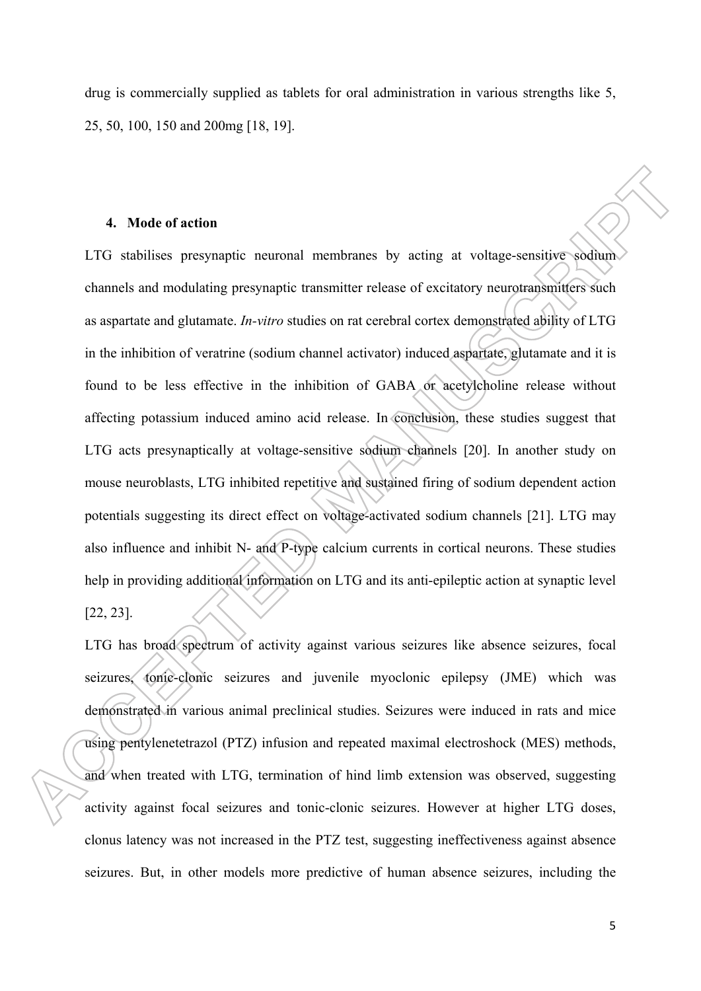drug is commercially supplied as tablets for oral administration in various strengths like 5, 25, 50, 100, 150 and 200mg [18, 19].

#### **4. Mode of action**

LTG stabilises presynaptic neuronal membranes by acting at voltage-sensitive sodium channels and modulating presynaptic transmitter release of excitatory neurotransmitters such as aspartate and glutamate. *In-vitro* studies on rat cerebral cortex demonstrated ability of LTG in the inhibition of veratrine (sodium channel activator) induced aspartate, glutamate and it is found to be less effective in the inhibition of GABA or acetylcholine release without affecting potassium induced amino acid release. In conclusion, these studies suggest that LTG acts presynaptically at voltage-sensitive sodium channels [20]. In another study on mouse neuroblasts, LTG inhibited repetitive and sustained firing of sodium dependent action potentials suggesting its direct effect on voltage-activated sodium channels [21]. LTG may also influence and inhibit N- and P-type calcium currents in cortical neurons. These studies help in providing additional information on LTG and its anti-epileptic action at synaptic level [22, 23].

LTG has broad spectrum of activity against various seizures like absence seizures, focal seizures, tonic-clonic seizures and juvenile myoclonic epilepsy (JME) which was demonstrated in various animal preclinical studies. Seizures were induced in rats and mice using pentylenetetrazol (PTZ) infusion and repeated maximal electroshock (MES) methods, and when treated with LTG, termination of hind limb extension was observed, suggesting activity against focal seizures and tonic-clonic seizures. However at higher LTG doses, clonus latency was not increased in the PTZ test, suggesting ineffectiveness against absence seizures. But, in other models more predictive of human absence seizures, including the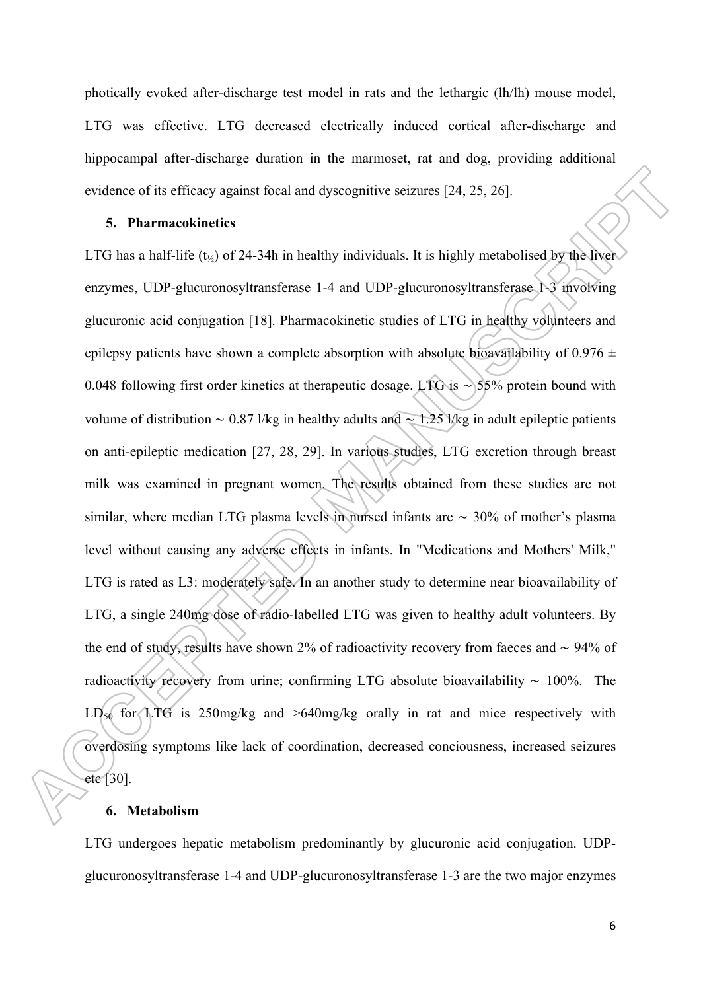photically evoked after-discharge test model in rats and the lethargic (lh/lh) mouse model, LTG was effective. LTG decreased electrically induced cortical after-discharge and hippocampal after-discharge duration in the marmoset, rat and dog, providing additional evidence of its efficacy against focal and dyscognitive seizures [24, 25, 26].

#### **5. Pharmacokinetics**

LTG has a half-life ( $t_{\frac{1}{2}}$ ) of 24-34h in healthy individuals. It is highly metabolised by the liver enzymes, UDP-glucuronosyltransferase 1-4 and UDP-glucuronosyltransferase 1-3 involving glucuronic acid conjugation [18]. Pharmacokinetic studies of LTG in healthy volunteers and epilepsy patients have shown a complete absorption with absolute bioavailability of  $0.976 \pm$ 0.048 following first order kinetics at therapeutic dosage. LTG is ∼ 55% protein bound with volume of distribution ∼ 0.87 l/kg in healthy adults and ∼ 1.25 l/kg in adult epileptic patients on anti-epileptic medication [27, 28, 29]. In various studies, LTG excretion through breast milk was examined in pregnant women. The results obtained from these studies are not similar, where median LTG plasma levels in nursed infants are ∼ 30% of mother's plasma level without causing any adverse effects in infants. In "Medications and Mothers' Milk," LTG is rated as L3: moderately safe. In an another study to determine near bioavailability of LTG, a single 240mg dose of radio-labelled LTG was given to healthy adult volunteers. By the end of study, results have shown 2% of radioactivity recovery from faeces and ∼ 94% of radioactivity recovery from urine; confirming LTG absolute bioavailability ∼ 100%. The  $LD_{50}$  for LTG is 250mg/kg and >640mg/kg orally in rat and mice respectively with overdosing symptoms like lack of coordination, decreased conciousness, increased seizures etc [30].

#### **6. Metabolism**

LTG undergoes hepatic metabolism predominantly by glucuronic acid conjugation. UDPglucuronosyltransferase 1-4 and UDP-glucuronosyltransferase 1-3 are the two major enzymes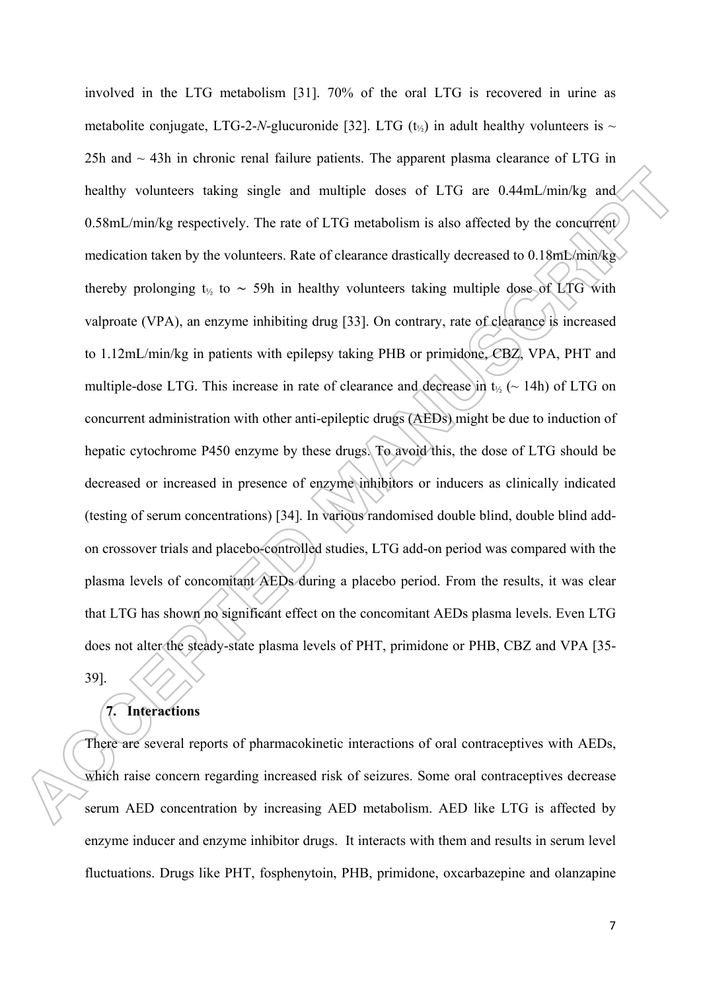involved in the LTG metabolism [31]. 70% of the oral LTG is recovered in urine as metabolite conjugate, LTG-2-*N*-glucuronide [32]. LTG (t<sub>1/s</sub>) in adult healthy volunteers is  $\sim$ 25h and  $\sim$  43h in chronic renal failure patients. The apparent plasma clearance of LTG in healthy volunteers taking single and multiple doses of LTG are 0.44mL/min/kg and 0.58mL/min/kg respectively. The rate of LTG metabolism is also affected by the concurrent medication taken by the volunteers. Rate of clearance drastically decreased to 0.18mL/min/kg thereby prolonging t½ to ∼ 59h in healthy volunteers taking multiple dose of LTG with valproate (VPA), an enzyme inhibiting drug [33]. On contrary, rate of clearance is increased to 1.12mL/min/kg in patients with epilepsy taking PHB or primidone, CBZ, VPA, PHT and multiple-dose LTG. This increase in rate of clearance and decrease in  $t_{\gamma}$  ( $\sim$  14h) of LTG on concurrent administration with other anti-epileptic drugs (AEDs) might be due to induction of hepatic cytochrome P450 enzyme by these drugs. To avoid this, the dose of LTG should be decreased or increased in presence of enzyme inhibitors or inducers as clinically indicated (testing of serum concentrations) [34]. In various randomised double blind, double blind addon crossover trials and placebo-controlled studies, LTG add-on period was compared with the plasma levels of concomitant AEDs during a placebo period. From the results, it was clear that LTG has shown no significant effect on the concomitant AEDs plasma levels. Even LTG does not alter the steady-state plasma levels of PHT, primidone or PHB, CBZ and VPA [35- 39].

# **7. Interactions**

There are several reports of pharmacokinetic interactions of oral contraceptives with AEDs, which raise concern regarding increased risk of seizures. Some oral contraceptives decrease serum AED concentration by increasing AED metabolism. AED like LTG is affected by enzyme inducer and enzyme inhibitor drugs. It interacts with them and results in serum level fluctuations. Drugs like PHT, fosphenytoin, PHB, primidone, oxcarbazepine and olanzapine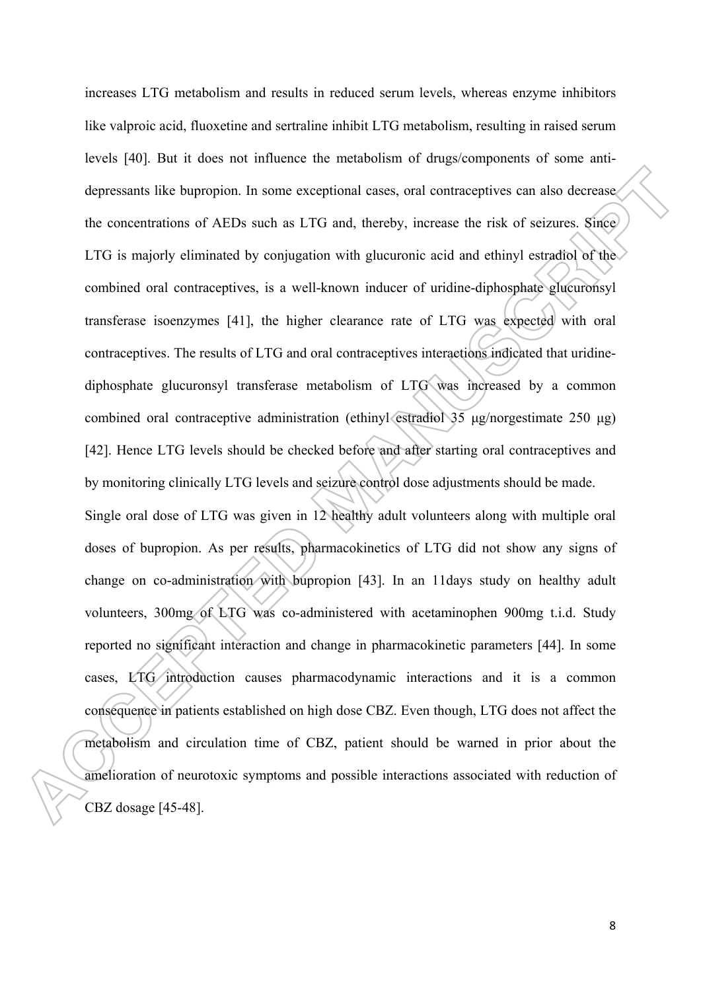increases LTG metabolism and results in reduced serum levels, whereas enzyme inhibitors like valproic acid, fluoxetine and sertraline inhibit LTG metabolism, resulting in raised serum levels [40]. But it does not influence the metabolism of drugs/components of some antidepressants like bupropion. In some exceptional cases, oral contraceptives can also decrease the concentrations of AEDs such as LTG and, thereby, increase the risk of seizures. Since LTG is majorly eliminated by conjugation with glucuronic acid and ethinyl estradiol of the combined oral contraceptives, is a well-known inducer of uridine-diphosphate glucuronsyl transferase isoenzymes [41], the higher clearance rate of LTG was expected with oral contraceptives. The results of LTG and oral contraceptives interactions indicated that uridinediphosphate glucuronsyl transferase metabolism of LTG was increased by a common combined oral contraceptive administration (ethinyl estradiol 35 μg/norgestimate 250 μg) [42]. Hence LTG levels should be checked before and after starting oral contraceptives and by monitoring clinically LTG levels and seizure control dose adjustments should be made. Single oral dose of LTG was given in 12 healthy adult volunteers along with multiple oral doses of bupropion. As per results, pharmacokinetics of LTG did not show any signs of

change on co-administration with bupropion [43]. In an 11days study on healthy adult volunteers, 300mg of LTG was co-administered with acetaminophen 900mg t.i.d. Study reported no significant interaction and change in pharmacokinetic parameters [44]. In some cases, LTG introduction causes pharmacodynamic interactions and it is a common consequence in patients established on high dose CBZ. Even though, LTG does not affect the metabolism and circulation time of CBZ, patient should be warned in prior about the amelioration of neurotoxic symptoms and possible interactions associated with reduction of CBZ dosage [45-48].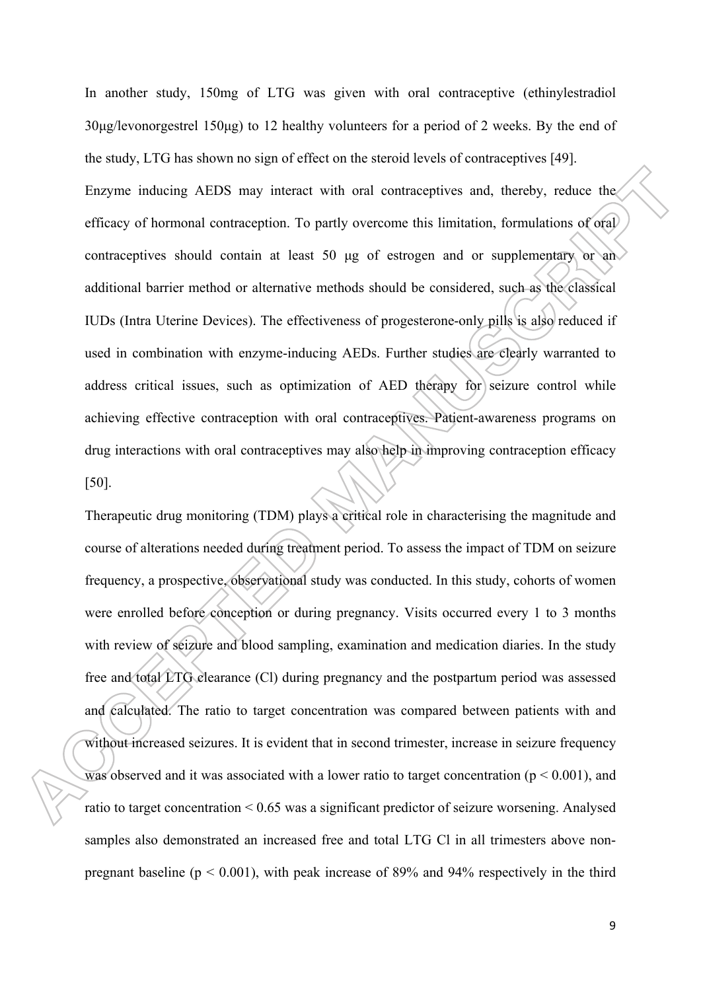In another study, 150mg of LTG was given with oral contraceptive (ethinylestradiol 30μg/levonorgestrel 150μg) to 12 healthy volunteers for a period of 2 weeks. By the end of the study, LTG has shown no sign of effect on the steroid levels of contraceptives [49]. Enzyme inducing AEDS may interact with oral contraceptives and, thereby, reduce the efficacy of hormonal contraception. To partly overcome this limitation, formulations of oral contraceptives should contain at least 50 μg of estrogen and or supplementary or an additional barrier method or alternative methods should be considered, such as the classical IUDs (Intra Uterine Devices). The effectiveness of progesterone-only pills is also reduced if used in combination with enzyme-inducing AEDs. Further studies are clearly warranted to address critical issues, such as optimization of AED therapy for seizure control while achieving effective contraception with oral contraceptives. Patient-awareness programs on drug interactions with oral contraceptives may also help in improving contraception efficacy [50].

Therapeutic drug monitoring (TDM) plays a critical role in characterising the magnitude and course of alterations needed during treatment period. To assess the impact of TDM on seizure frequency, a prospective, observational study was conducted. In this study, cohorts of women were enrolled before conception or during pregnancy. Visits occurred every 1 to 3 months with review of seizure and blood sampling, examination and medication diaries. In the study free and total LTG clearance (Cl) during pregnancy and the postpartum period was assessed and calculated. The ratio to target concentration was compared between patients with and without increased seizures. It is evident that in second trimester, increase in seizure frequency was observed and it was associated with a lower ratio to target concentration ( $p \le 0.001$ ), and ratio to target concentration < 0.65 was a significant predictor of seizure worsening. Analysed samples also demonstrated an increased free and total LTG Cl in all trimesters above nonpregnant baseline ( $p < 0.001$ ), with peak increase of 89% and 94% respectively in the third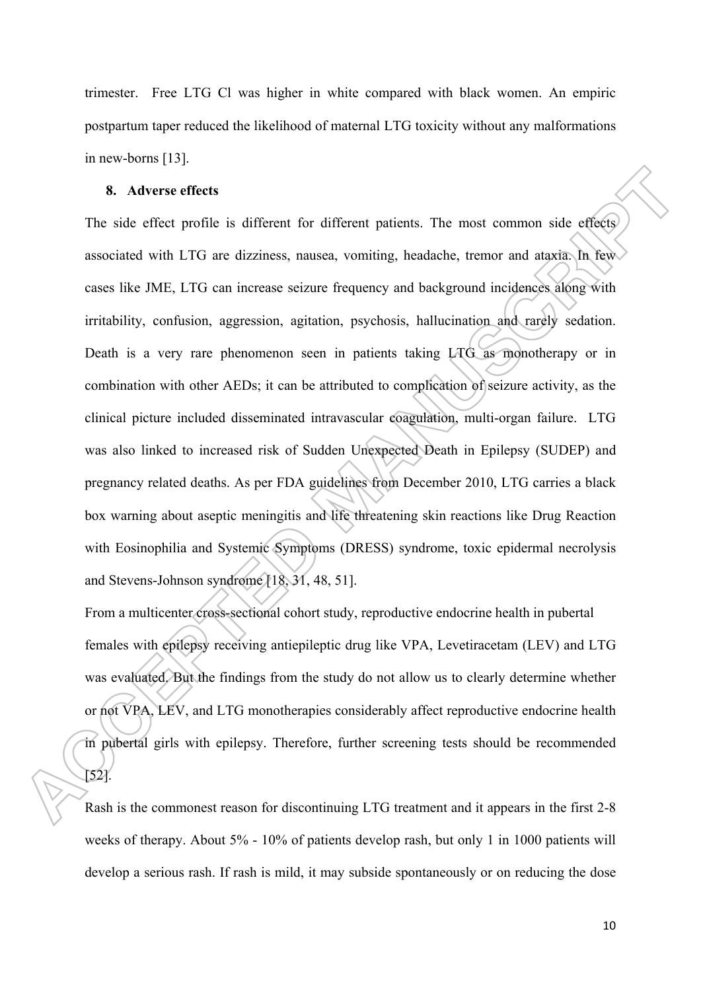trimester. Free LTG Cl was higher in white compared with black women. An empiric postpartum taper reduced the likelihood of maternal LTG toxicity without any malformations in new-borns [13].

## **8. Adverse effects**

The side effect profile is different for different patients. The most common side effects associated with LTG are dizziness, nausea, vomiting, headache, tremor and ataxia. In few cases like JME, LTG can increase seizure frequency and background incidences along with irritability, confusion, aggression, agitation, psychosis, hallucination and rarely sedation. Death is a very rare phenomenon seen in patients taking LTG as monotherapy or in combination with other AEDs; it can be attributed to complication of seizure activity, as the clinical picture included disseminated intravascular coagulation, multi-organ failure. LTG was also linked to increased risk of Sudden Unexpected Death in Epilepsy (SUDEP) and pregnancy related deaths. As per FDA guidelines from December 2010, LTG carries a black box warning about aseptic meningitis and life threatening skin reactions like Drug Reaction with Eosinophilia and Systemic Symptoms (DRESS) syndrome, toxic epidermal necrolysis and Stevens-Johnson syndrome [18, 31, 48, 51].

From a multicenter cross-sectional cohort study, reproductive endocrine health in pubertal females with epilepsy receiving antiepileptic drug like VPA, Levetiracetam (LEV) and LTG was evaluated. But the findings from the study do not allow us to clearly determine whether or not VPA, LEV, and LTG monotherapies considerably affect reproductive endocrine health in pubertal girls with epilepsy. Therefore, further screening tests should be recommended [52].

Rash is the commonest reason for discontinuing LTG treatment and it appears in the first 2-8 weeks of therapy. About 5% - 10% of patients develop rash, but only 1 in 1000 patients will develop a serious rash. If rash is mild, it may subside spontaneously or on reducing the dose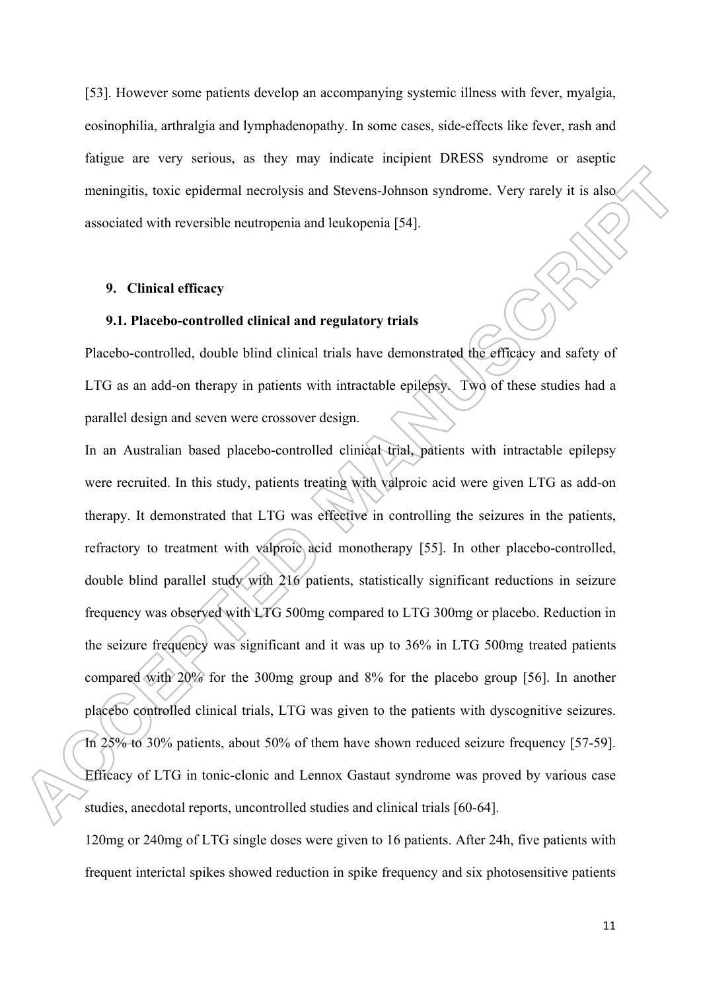[53]. However some patients develop an accompanying systemic illness with fever, myalgia, eosinophilia, arthralgia and lymphadenopathy. In some cases, side-effects like fever, rash and fatigue are very serious, as they may indicate incipient DRESS syndrome or aseptic meningitis, toxic epidermal necrolysis and Stevens-Johnson syndrome. Very rarely it is also associated with reversible neutropenia and leukopenia [54].

#### **9. Clinical efficacy**

## **9.1. Placebo-controlled clinical and regulatory trials**

Placebo-controlled, double blind clinical trials have demonstrated the efficacy and safety of LTG as an add-on therapy in patients with intractable epilepsy. Two of these studies had a parallel design and seven were crossover design.

In an Australian based placebo-controlled clinical trial, patients with intractable epilepsy were recruited. In this study, patients treating with valproic acid were given LTG as add-on therapy. It demonstrated that LTG was effective in controlling the seizures in the patients, refractory to treatment with valproic acid monotherapy [55]. In other placebo-controlled, double blind parallel study with 216 patients, statistically significant reductions in seizure frequency was observed with LTG 500mg compared to LTG 300mg or placebo. Reduction in the seizure frequency was significant and it was up to 36% in LTG 500mg treated patients compared with 20% for the 300mg group and 8% for the placebo group [56]. In another placebo controlled clinical trials, LTG was given to the patients with dyscognitive seizures. In 25% to 30% patients, about 50% of them have shown reduced seizure frequency [57-59]. Efficacy of LTG in tonic-clonic and Lennox Gastaut syndrome was proved by various case studies, anecdotal reports, uncontrolled studies and clinical trials [60-64].

120mg or 240mg of LTG single doses were given to 16 patients. After 24h, five patients with frequent interictal spikes showed reduction in spike frequency and six photosensitive patients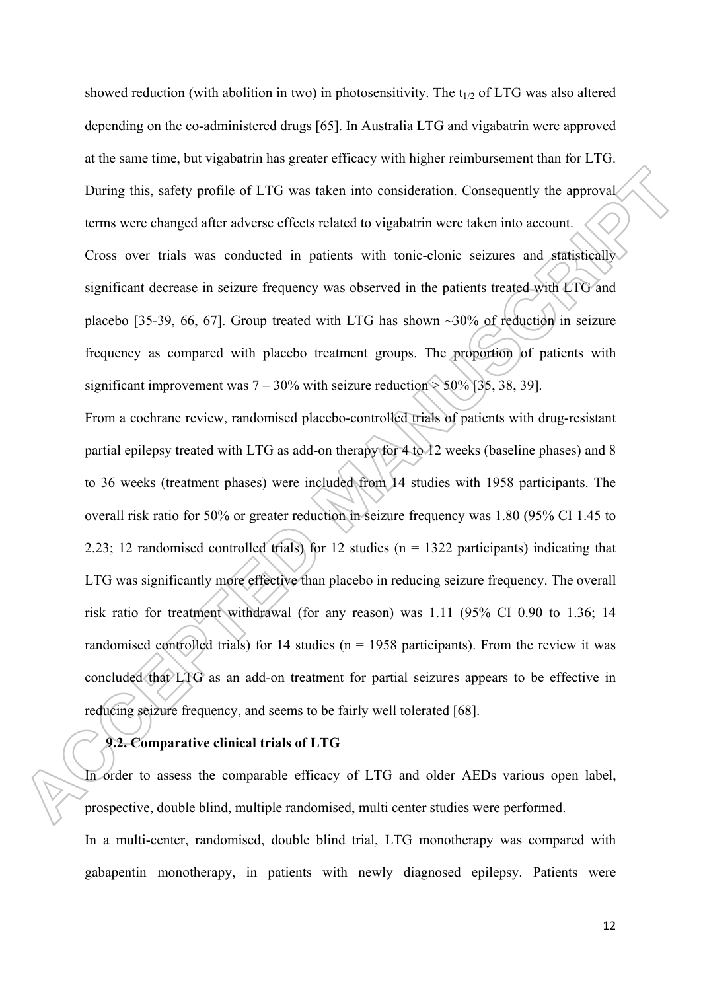showed reduction (with abolition in two) in photosensitivity. The  $t_{1/2}$  of LTG was also altered depending on the co-administered drugs [65]. In Australia LTG and vigabatrin were approved at the same time, but vigabatrin has greater efficacy with higher reimbursement than for LTG. During this, safety profile of LTG was taken into consideration. Consequently the approval terms were changed after adverse effects related to vigabatrin were taken into account. Cross over trials was conducted in patients with tonic-clonic seizures and statistically significant decrease in seizure frequency was observed in the patients treated with LTG and placebo [35-39, 66, 67]. Group treated with LTG has shown ~30% of reduction in seizure frequency as compared with placebo treatment groups. The proportion of patients with significant improvement was  $7 - 30\%$  with seizure reduction  $> 50\%$  [35, 38, 39].

From a cochrane review, randomised placebo-controlled trials of patients with drug-resistant partial epilepsy treated with LTG as add-on therapy for 4 to 12 weeks (baseline phases) and 8 to 36 weeks (treatment phases) were included from 14 studies with 1958 participants. The overall risk ratio for 50% or greater reduction in seizure frequency was 1.80 (95% CI 1.45 to 2.23; 12 randomised controlled trials) for 12 studies ( $n = 1322$  participants) indicating that LTG was significantly more effective than placebo in reducing seizure frequency. The overall risk ratio for treatment withdrawal (for any reason) was 1.11 (95% CI 0.90 to 1.36; 14 randomised controlled trials) for 14 studies ( $n = 1958$  participants). From the review it was concluded that LTG as an add-on treatment for partial seizures appears to be effective in reducing seizure frequency, and seems to be fairly well tolerated [68].

## **9.2. Comparative clinical trials of LTG**

In order to assess the comparable efficacy of LTG and older AEDs various open label, prospective, double blind, multiple randomised, multi center studies were performed.

In a multi-center, randomised, double blind trial, LTG monotherapy was compared with gabapentin monotherapy, in patients with newly diagnosed epilepsy. Patients were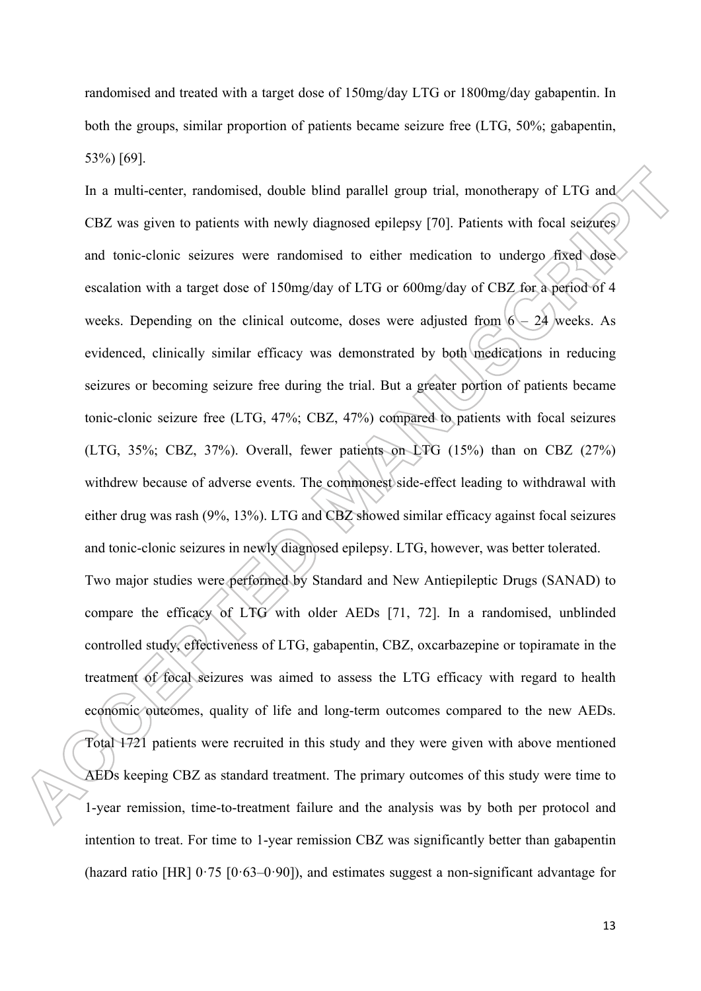randomised and treated with a target dose of 150mg/day LTG or 1800mg/day gabapentin. In both the groups, similar proportion of patients became seizure free (LTG, 50%; gabapentin, 53%) [69].

In a multi-center, randomised, double blind parallel group trial, monotherapy of LTG and CBZ was given to patients with newly diagnosed epilepsy [70]. Patients with focal seizures and tonic-clonic seizures were randomised to either medication to undergo fixed dose escalation with a target dose of 150mg/day of LTG or 600mg/day of CBZ for a period of 4 weeks. Depending on the clinical outcome, doses were adjusted from  $6 - 24$  weeks. As evidenced, clinically similar efficacy was demonstrated by both medications in reducing seizures or becoming seizure free during the trial. But a greater portion of patients became tonic-clonic seizure free (LTG, 47%; CBZ, 47%) compared to patients with focal seizures (LTG, 35%; CBZ, 37%). Overall, fewer patients on LTG (15%) than on CBZ (27%) withdrew because of adverse events. The commonest side-effect leading to withdrawal with either drug was rash (9%, 13%). LTG and CBZ showed similar efficacy against focal seizures and tonic-clonic seizures in newly diagnosed epilepsy. LTG, however, was better tolerated. Two major studies were performed by Standard and New Antiepileptic Drugs (SANAD) to compare the efficacy of LTG with older AEDs [71, 72]. In a randomised, unblinded controlled study, effectiveness of LTG, gabapentin, CBZ, oxcarbazepine or topiramate in the treatment of focal seizures was aimed to assess the LTG efficacy with regard to health economic outcomes, quality of life and long-term outcomes compared to the new AEDs. Total 1721 patients were recruited in this study and they were given with above mentioned AEDs keeping CBZ as standard treatment. The primary outcomes of this study were time to 1-year remission, time-to-treatment failure and the analysis was by both per protocol and intention to treat. For time to 1-year remission CBZ was significantly better than gabapentin (hazard ratio [HR] 0·75 [0·63–0·90]), and estimates suggest a non-significant advantage for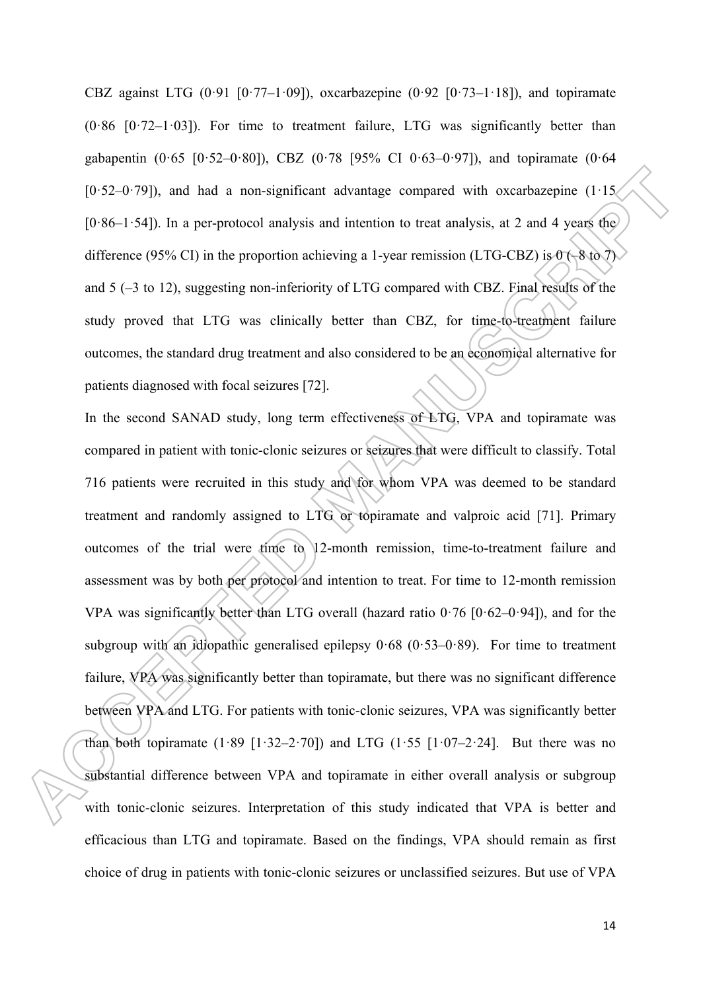CBZ against LTG  $(0.91 \quad [0.77-1.09])$ , oxcarbazepine  $(0.92 \quad [0.73-1.18])$ , and topiramate  $(0.86 \, [0.72-1.03])$ . For time to treatment failure, LTG was significantly better than gabapentin  $(0.65 \, [0.52-0.80])$ , CBZ  $(0.78 \, [95\% \, Cl \, 0.63-0.97])$ , and topiramate  $(0.64 \,$  $[0.52-0.79]$ , and had a non-significant advantage compared with oxcarbazepine  $(1.15)$  $[0.86-1.54]$ ). In a per-protocol analysis and intention to treat analysis, at 2 and 4 years the difference (95% CI) in the proportion achieving a 1-year remission (LTG-CBZ) is  $0$  (–8 to 7) and 5 (–3 to 12), suggesting non-inferiority of LTG compared with CBZ. Final results of the study proved that LTG was clinically better than CBZ, for time-to-treatment failure outcomes, the standard drug treatment and also considered to be an economical alternative for patients diagnosed with focal seizures [72].

In the second SANAD study, long term effectiveness of LTG, VPA and topiramate was compared in patient with tonic-clonic seizures or seizures that were difficult to classify. Total 716 patients were recruited in this study and for whom VPA was deemed to be standard treatment and randomly assigned to LTG or topiramate and valproic acid [71]. Primary outcomes of the trial were time to 12-month remission, time-to-treatment failure and assessment was by both per protocol and intention to treat. For time to 12-month remission VPA was significantly better than LTG overall (hazard ratio  $0.76$  [ $0.62-0.94$ ]), and for the subgroup with an idiopathic generalised epilepsy  $0.68$  ( $0.53-0.89$ ). For time to treatment failure, VPA was significantly better than topiramate, but there was no significant difference between VPA and LTG. For patients with tonic-clonic seizures, VPA was significantly better than both topiramate  $(1.89 \t[1.32-2.70])$  and LTG  $(1.55 \t[1.07-2.24])$ . But there was no substantial difference between VPA and topiramate in either overall analysis or subgroup with tonic-clonic seizures. Interpretation of this study indicated that VPA is better and efficacious than LTG and topiramate. Based on the findings, VPA should remain as first choice of drug in patients with tonic-clonic seizures or unclassified seizures. But use of VPA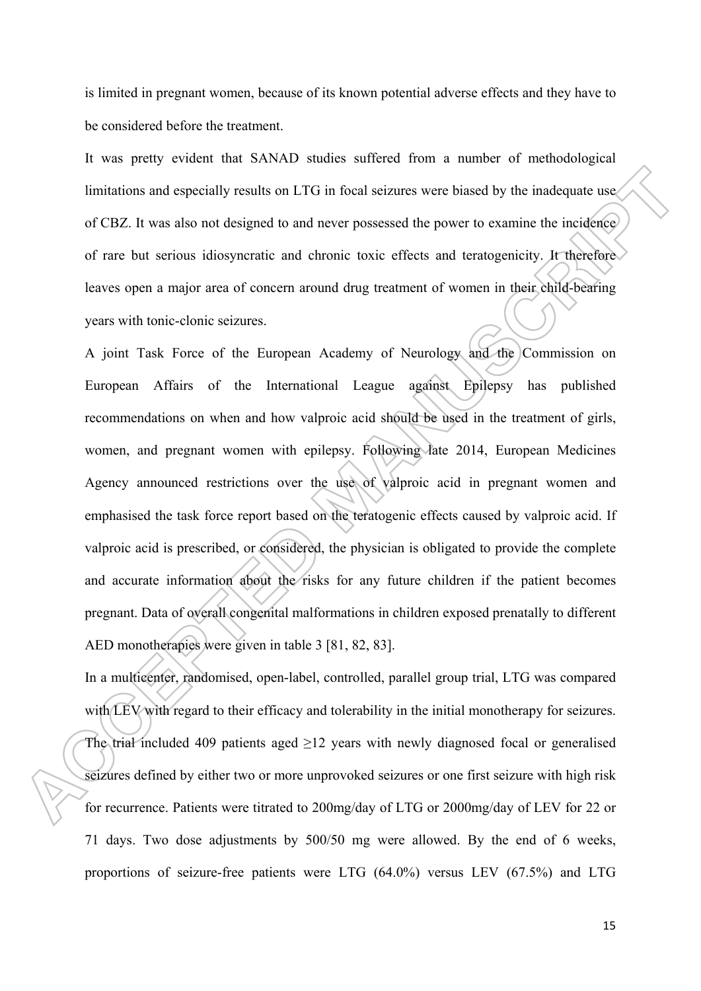is limited in pregnant women, because of its known potential adverse effects and they have to be considered before the treatment.

It was pretty evident that SANAD studies suffered from a number of methodological limitations and especially results on LTG in focal seizures were biased by the inadequate use of CBZ. It was also not designed to and never possessed the power to examine the incidence of rare but serious idiosyncratic and chronic toxic effects and teratogenicity. It therefore leaves open a major area of concern around drug treatment of women in their child-bearing years with tonic-clonic seizures.

A joint Task Force of the European Academy of Neurology and the Commission on European Affairs of the International League against Epilepsy has published recommendations on when and how valproic acid should be used in the treatment of girls, women, and pregnant women with epilepsy. Following late 2014, European Medicines Agency announced restrictions over the use of valproic acid in pregnant women and emphasised the task force report based on the teratogenic effects caused by valproic acid. If valproic acid is prescribed, or considered, the physician is obligated to provide the complete and accurate information about the risks for any future children if the patient becomes pregnant. Data of overall congenital malformations in children exposed prenatally to different AED monotherapies were given in table 3 [81, 82, 83].

In a multicenter, randomised, open-label, controlled, parallel group trial, LTG was compared with LEV with regard to their efficacy and tolerability in the initial monotherapy for seizures. The trial included 409 patients aged >12 years with newly diagnosed focal or generalised seizures defined by either two or more unprovoked seizures or one first seizure with high risk for recurrence. Patients were titrated to 200mg/day of LTG or 2000mg/day of LEV for 22 or 71 days. Two dose adjustments by 500/50 mg were allowed. By the end of 6 weeks, proportions of seizure-free patients were LTG (64.0%) versus LEV (67.5%) and LTG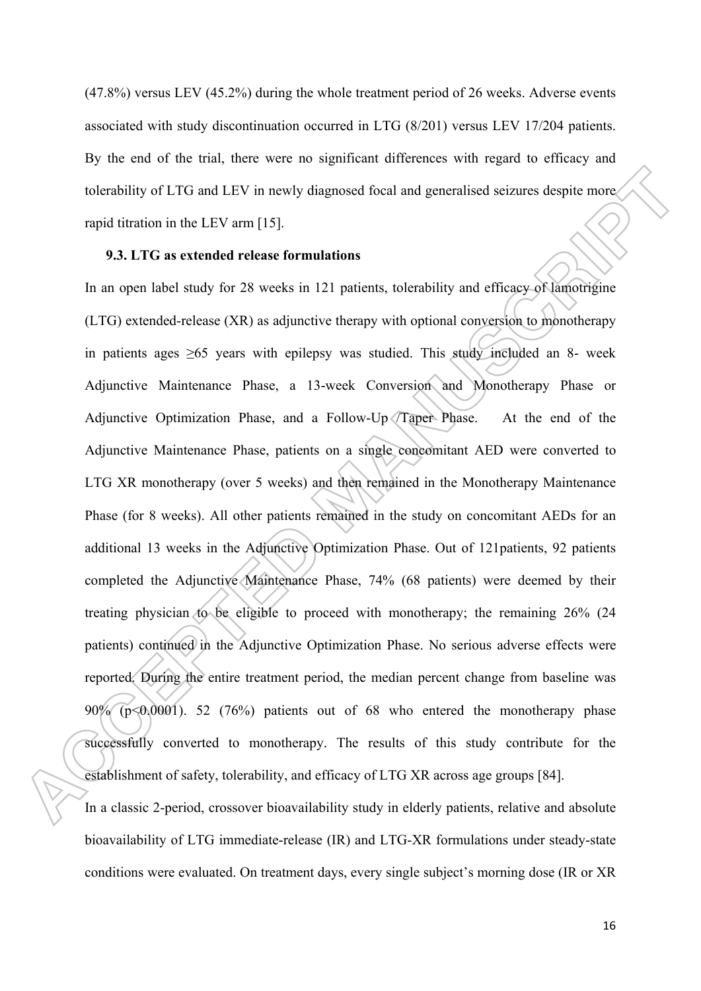(47.8%) versus LEV (45.2%) during the whole treatment period of 26 weeks. Adverse events associated with study discontinuation occurred in LTG (8/201) versus LEV 17/204 patients. By the end of the trial, there were no significant differences with regard to efficacy and tolerability of LTG and LEV in newly diagnosed focal and generalised seizures despite more rapid titration in the LEV arm [15].

## **9.3. LTG as extended release formulations**

In an open label study for 28 weeks in 121 patients, tolerability and efficacy of lamotrigine (LTG) extended-release (XR) as adjunctive therapy with optional conversion to monotherapy in patients ages  $\geq 65$  years with epilepsy was studied. This study included an 8- week Adjunctive Maintenance Phase, a 13-week Conversion and Monotherapy Phase or Adjunctive Optimization Phase, and a Follow-Up /Taper Phase. At the end of the Adjunctive Maintenance Phase, patients on a single concomitant AED were converted to LTG XR monotherapy (over 5 weeks) and then remained in the Monotherapy Maintenance Phase (for 8 weeks). All other patients remained in the study on concomitant AEDs for an additional 13 weeks in the Adjunctive Optimization Phase. Out of 121patients, 92 patients completed the Adjunctive Maintenance Phase, 74% (68 patients) were deemed by their treating physician to be eligible to proceed with monotherapy; the remaining 26% (24 patients) continued in the Adjunctive Optimization Phase. No serious adverse effects were reported. During the entire treatment period, the median percent change from baseline was 90% (p<0.0001). 52 (76%) patients out of 68 who entered the monotherapy phase successfully converted to monotherapy. The results of this study contribute for the establishment of safety, tolerability, and efficacy of LTG XR across age groups [84].

In a classic 2-period, crossover bioavailability study in elderly patients, relative and absolute bioavailability of LTG immediate-release (IR) and LTG-XR formulations under steady-state conditions were evaluated. On treatment days, every single subject's morning dose (IR or XR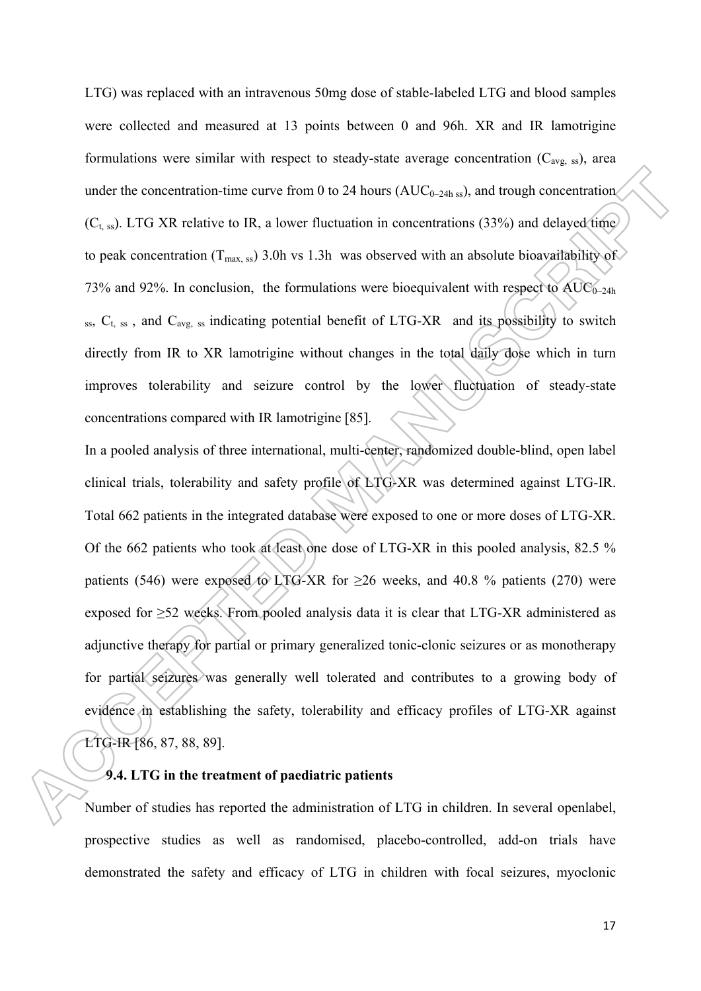LTG) was replaced with an intravenous 50mg dose of stable-labeled LTG and blood samples were collected and measured at 13 points between 0 and 96h. XR and IR lamotrigine formulations were similar with respect to steady-state average concentration  $(C_{\text{avg}})$ , area under the concentration-time curve from 0 to 24 hours ( $AUC_{0-24h \text{ ss}}$ ), and trough concentration  $(C<sub>t, ss</sub>)$ . LTG XR relative to IR, a lower fluctuation in concentrations (33%) and delayed time to peak concentration ( $T_{\text{max}}$ , ss) 3.0h vs 1.3h was observed with an absolute bioavailability of 73% and 92%. In conclusion, the formulations were bioequivalent with respect to  $AUC_{0-24h}$  $s<sub>s</sub>$ ,  $C<sub>t</sub>$ ,  $s<sub>s</sub>$ , and  $C<sub>avg, ss</sub>$  indicating potential benefit of LTG-XR and its possibility to switch directly from IR to XR lamotrigine without changes in the total daily dose which in turn improves tolerability and seizure control by the lower fluctuation of steady-state concentrations compared with IR lamotrigine [85].

In a pooled analysis of three international, multi-center, randomized double-blind, open label clinical trials, tolerability and safety profile of LTG-XR was determined against LTG-IR. Total 662 patients in the integrated database were exposed to one or more doses of LTG-XR. Of the 662 patients who took at least one dose of LTG-XR in this pooled analysis, 82.5 % patients (546) were exposed to LTG-XR for  $\geq$ 26 weeks, and 40.8 % patients (270) were exposed for  $\geq$ 52 weeks. From pooled analysis data it is clear that LTG-XR administered as adjunctive therapy for partial or primary generalized tonic-clonic seizures or as monotherapy for partial seizures was generally well tolerated and contributes to a growing body of evidence in establishing the safety, tolerability and efficacy profiles of LTG-XR against LTG-IR [86, 87, 88, 89].

## **9.4. LTG in the treatment of paediatric patients**

Number of studies has reported the administration of LTG in children. In several openlabel, prospective studies as well as randomised, placebo-controlled, add-on trials have demonstrated the safety and efficacy of LTG in children with focal seizures, myoclonic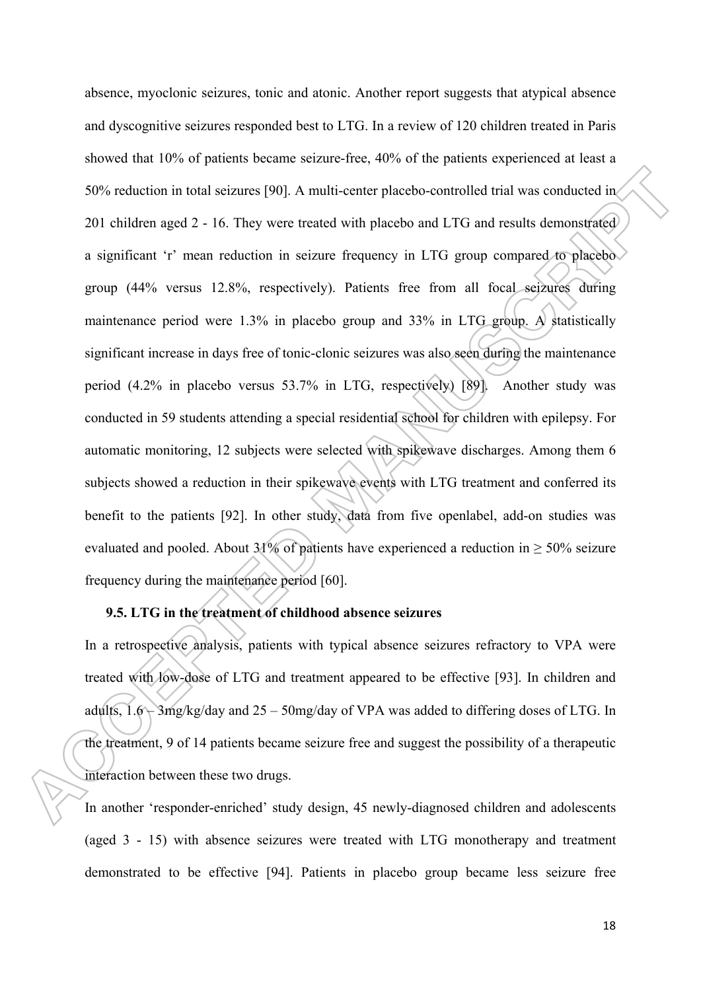absence, myoclonic seizures, tonic and atonic. Another report suggests that atypical absence and dyscognitive seizures responded best to LTG. In a review of 120 children treated in Paris showed that 10% of patients became seizure-free, 40% of the patients experienced at least a 50% reduction in total seizures [90]. A multi-center placebo-controlled trial was conducted in 201 children aged 2 - 16. They were treated with placebo and LTG and results demonstrated a significant 'r' mean reduction in seizure frequency in LTG group compared to placebo group (44% versus 12.8%, respectively). Patients free from all focal seizures during maintenance period were 1.3% in placebo group and 33% in LTG group. A statistically significant increase in days free of tonic-clonic seizures was also seen during the maintenance period (4.2% in placebo versus 53.7% in LTG, respectively) [89]. Another study was conducted in 59 students attending a special residential school for children with epilepsy. For automatic monitoring, 12 subjects were selected with spikewave discharges. Among them 6 subjects showed a reduction in their spikewave events with LTG treatment and conferred its benefit to the patients [92]. In other study, data from five openlabel, add-on studies was evaluated and pooled. About 31% of patients have experienced a reduction in  $> 50\%$  seizure frequency during the maintenance period [60].

# **9.5. LTG in the treatment of childhood absence seizures**

In a retrospective analysis, patients with typical absence seizures refractory to VPA were treated with low-dose of LTG and treatment appeared to be effective [93]. In children and adults,  $1.6 - 3$ mg/kg/day and  $25 - 50$ mg/day of VPA was added to differing doses of LTG. In the treatment, 9 of 14 patients became seizure free and suggest the possibility of a therapeutic interaction between these two drugs.

In another 'responder-enriched' study design, 45 newly-diagnosed children and adolescents (aged 3 - 15) with absence seizures were treated with LTG monotherapy and treatment demonstrated to be effective [94]. Patients in placebo group became less seizure free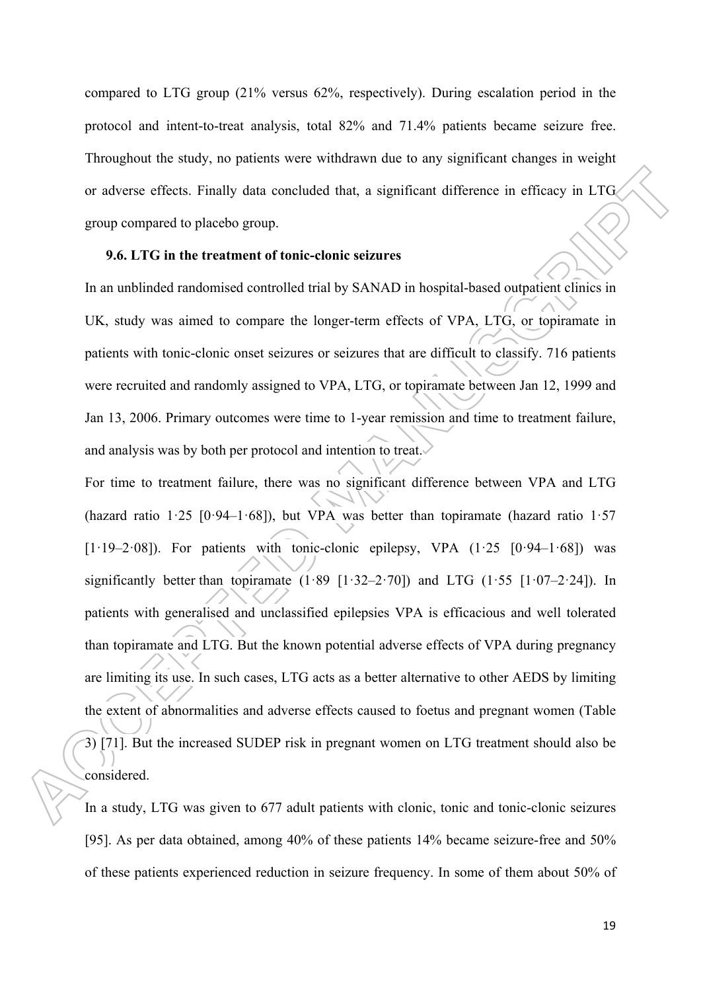compared to LTG group (21% versus 62%, respectively). During escalation period in the protocol and intent-to-treat analysis, total 82% and 71.4% patients became seizure free. Throughout the study, no patients were withdrawn due to any significant changes in weight or adverse effects. Finally data concluded that, a significant difference in efficacy in LTG group compared to placebo group.

## **9.6. LTG in the treatment of tonic-clonic seizures**

In an unblinded randomised controlled trial by SANAD in hospital-based outpatient clinics in UK, study was aimed to compare the longer-term effects of VPA, LTG, or topiramate in patients with tonic-clonic onset seizures or seizures that are difficult to classify. 716 patients were recruited and randomly assigned to VPA, LTG, or topiramate between Jan 12, 1999 and Jan 13, 2006. Primary outcomes were time to 1-year remission and time to treatment failure, and analysis was by both per protocol and intention to treat.

For time to treatment failure, there was no significant difference between VPA and LTG (hazard ratio  $1.25$  [0.94–1.68]), but VPA was better than topiramate (hazard ratio  $1.57$  $[1.19-2.08]$ ). For patients with tonic-clonic epilepsy, VPA  $(1.25 \t [0.94-1.68])$  was significantly better than topiramate  $(1.89 \t[1.32-2.70])$  and LTG  $(1.55 \t[1.07-2.24])$ . In patients with generalised and unclassified epilepsies VPA is efficacious and well tolerated than topiramate and LTG. But the known potential adverse effects of VPA during pregnancy are limiting its use. In such cases, LTG acts as a better alternative to other AEDS by limiting the extent of abnormalities and adverse effects caused to foetus and pregnant women (Table 3) [71]. But the increased SUDEP risk in pregnant women on LTG treatment should also be considered.

In a study, LTG was given to 677 adult patients with clonic, tonic and tonic-clonic seizures [95]. As per data obtained, among 40% of these patients 14% became seizure-free and 50% of these patients experienced reduction in seizure frequency. In some of them about 50% of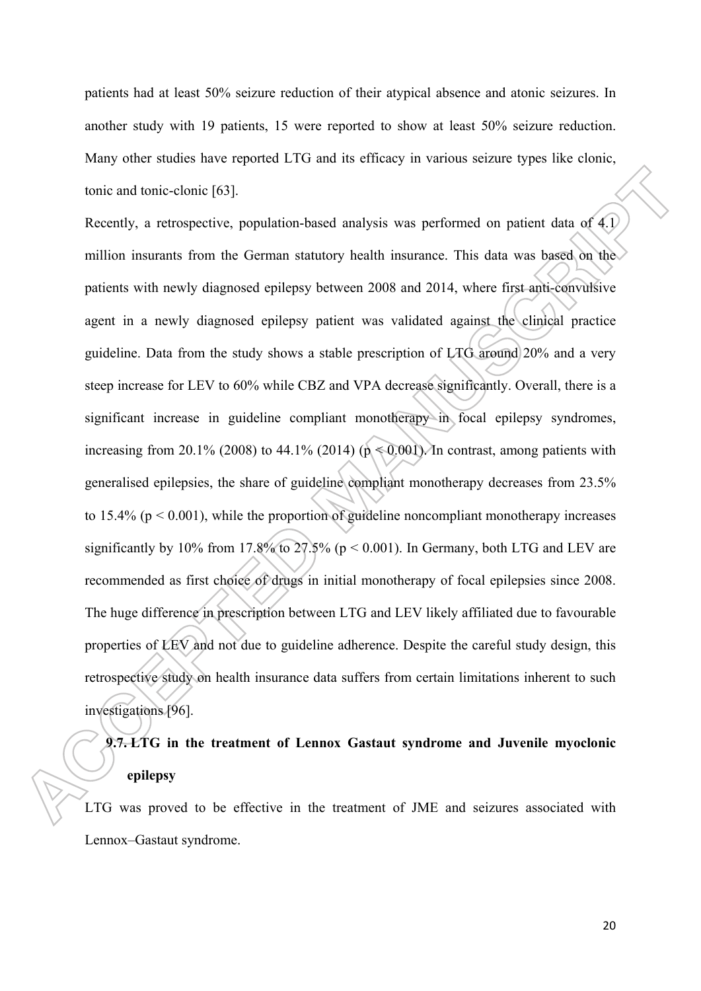patients had at least 50% seizure reduction of their atypical absence and atonic seizures. In another study with 19 patients, 15 were reported to show at least 50% seizure reduction. Many other studies have reported LTG and its efficacy in various seizure types like clonic, tonic and tonic-clonic [63].

Recently, a retrospective, population-based analysis was performed on patient data of 4.1 million insurants from the German statutory health insurance. This data was based on the patients with newly diagnosed epilepsy between 2008 and 2014, where first anti-convulsive agent in a newly diagnosed epilepsy patient was validated against the clinical practice guideline. Data from the study shows a stable prescription of LTG around 20% and a very steep increase for LEV to 60% while CBZ and VPA decrease significantly. Overall, there is a significant increase in guideline compliant monotherapy in focal epilepsy syndromes, increasing from 20.1% (2008) to 44.1% (2014) ( $p \le 0.001$ ). In contrast, among patients with generalised epilepsies, the share of guideline compliant monotherapy decreases from 23.5% to 15.4% ( $p < 0.001$ ), while the proportion of guideline noncompliant monotherapy increases significantly by 10% from 17.8% to 27.5% ( $p < 0.001$ ). In Germany, both LTG and LEV are recommended as first choice of drugs in initial monotherapy of focal epilepsies since 2008. The huge difference in prescription between LTG and LEV likely affiliated due to favourable properties of LEV and not due to guideline adherence. Despite the careful study design, this retrospective study on health insurance data suffers from certain limitations inherent to such investigations [96].

# **9.7. LTG in the treatment of Lennox Gastaut syndrome and Juvenile myoclonic epilepsy**

LTG was proved to be effective in the treatment of JME and seizures associated with Lennox–Gastaut syndrome.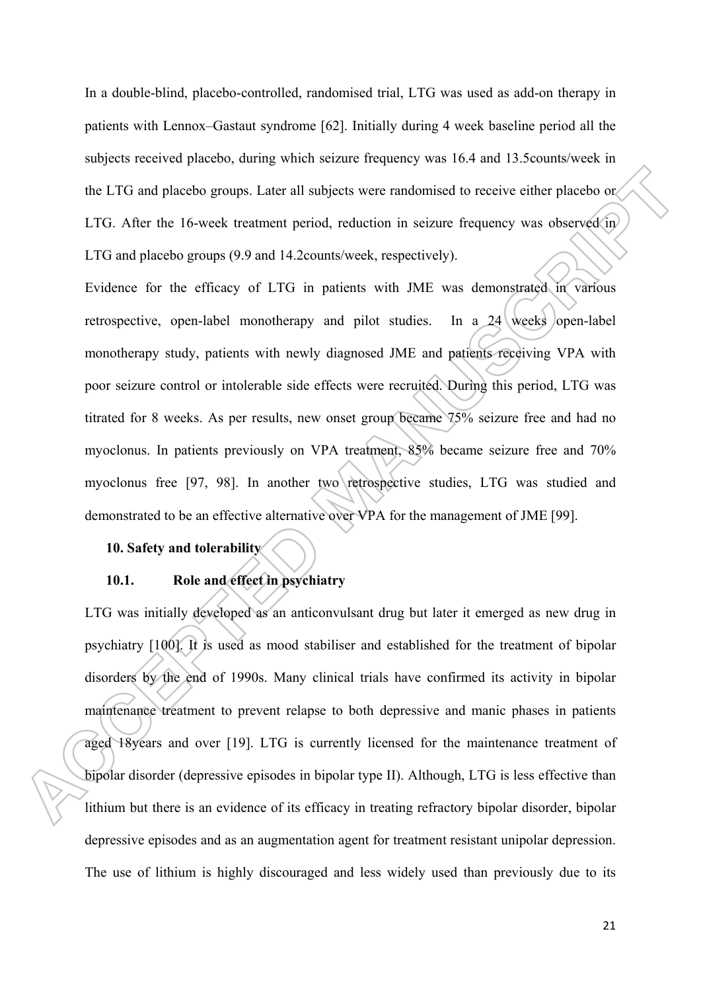In a double-blind, placebo-controlled, randomised trial, LTG was used as add-on therapy in patients with Lennox–Gastaut syndrome [62]. Initially during 4 week baseline period all the subjects received placebo, during which seizure frequency was 16.4 and 13.5counts/week in the LTG and placebo groups. Later all subjects were randomised to receive either placebo or LTG. After the 16-week treatment period, reduction in seizure frequency was observed in LTG and placebo groups (9.9 and 14.2counts/week, respectively).

Evidence for the efficacy of LTG in patients with JME was demonstrated in various retrospective, open-label monotherapy and pilot studies. In a  $24$  weeks open-label monotherapy study, patients with newly diagnosed JME and patients receiving VPA with poor seizure control or intolerable side effects were recruited. During this period, LTG was titrated for 8 weeks. As per results, new onset group became 75% seizure free and had no myoclonus. In patients previously on VPA treatment, 85% became seizure free and 70% myoclonus free [97, 98]. In another two retrospective studies, LTG was studied and demonstrated to be an effective alternative over VPA for the management of JME [99].

# **10. Safety and tolerability**

# **10.1. Role and effect in psychiatry**

LTG was initially developed as an anticonvulsant drug but later it emerged as new drug in psychiatry [100]. It is used as mood stabiliser and established for the treatment of bipolar disorders by the end of 1990s. Many clinical trials have confirmed its activity in bipolar maintenance treatment to prevent relapse to both depressive and manic phases in patients aged 18years and over [19]. LTG is currently licensed for the maintenance treatment of bipolar disorder (depressive episodes in bipolar type II). Although, LTG is less effective than lithium but there is an evidence of its efficacy in treating refractory bipolar disorder, bipolar depressive episodes and as an augmentation agent for treatment resistant unipolar depression. The use of lithium is highly discouraged and less widely used than previously due to its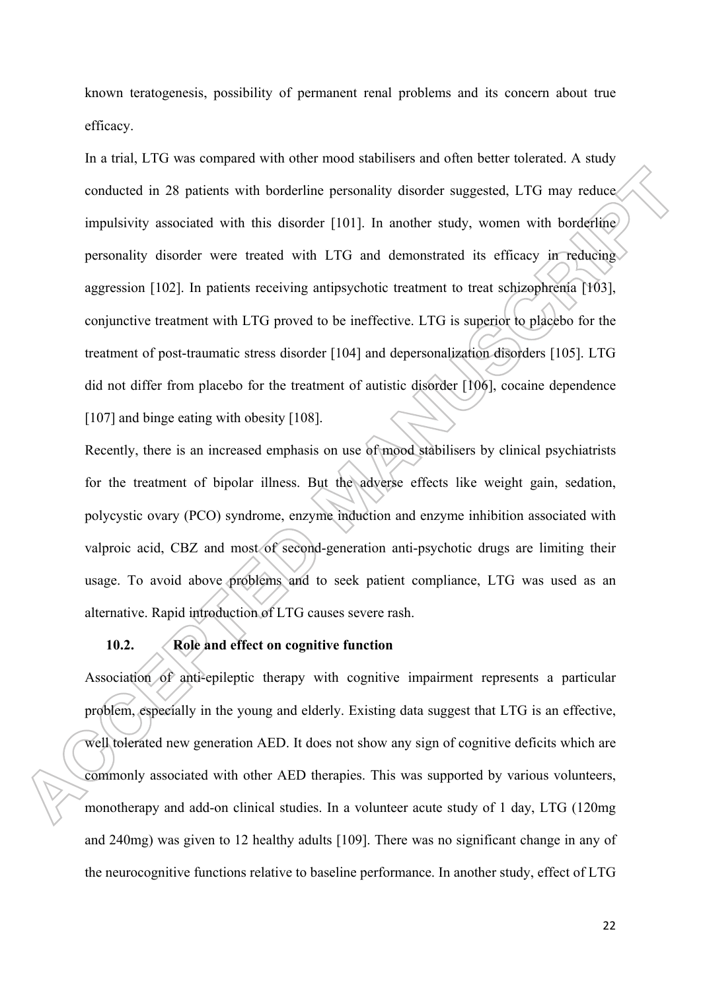known teratogenesis, possibility of permanent renal problems and its concern about true efficacy.

In a trial, LTG was compared with other mood stabilisers and often better tolerated. A study conducted in 28 patients with borderline personality disorder suggested, LTG may reduce impulsivity associated with this disorder [101]. In another study, women with borderline personality disorder were treated with LTG and demonstrated its efficacy in reducing aggression [102]. In patients receiving antipsychotic treatment to treat schizophrenia [103], conjunctive treatment with LTG proved to be ineffective. LTG is superior to placebo for the treatment of post-traumatic stress disorder [104] and depersonalization disorders [105]. LTG did not differ from placebo for the treatment of autistic disorder [106], cocaine dependence [107] and binge eating with obesity [108].

Recently, there is an increased emphasis on use of mood stabilisers by clinical psychiatrists for the treatment of bipolar illness. But the adverse effects like weight gain, sedation, polycystic ovary (PCO) syndrome, enzyme induction and enzyme inhibition associated with valproic acid, CBZ and most of second-generation anti-psychotic drugs are limiting their usage. To avoid above problems and to seek patient compliance, LTG was used as an alternative. Rapid introduction of LTG causes severe rash.

# **10.2. Role and effect on cognitive function**

Association of anti-epileptic therapy with cognitive impairment represents a particular problem, especially in the young and elderly. Existing data suggest that LTG is an effective, well tolerated new generation AED. It does not show any sign of cognitive deficits which are commonly associated with other AED therapies. This was supported by various volunteers, monotherapy and add-on clinical studies. In a volunteer acute study of 1 day, LTG (120mg and 240mg) was given to 12 healthy adults [109]. There was no significant change in any of the neurocognitive functions relative to baseline performance. In another study, effect of LTG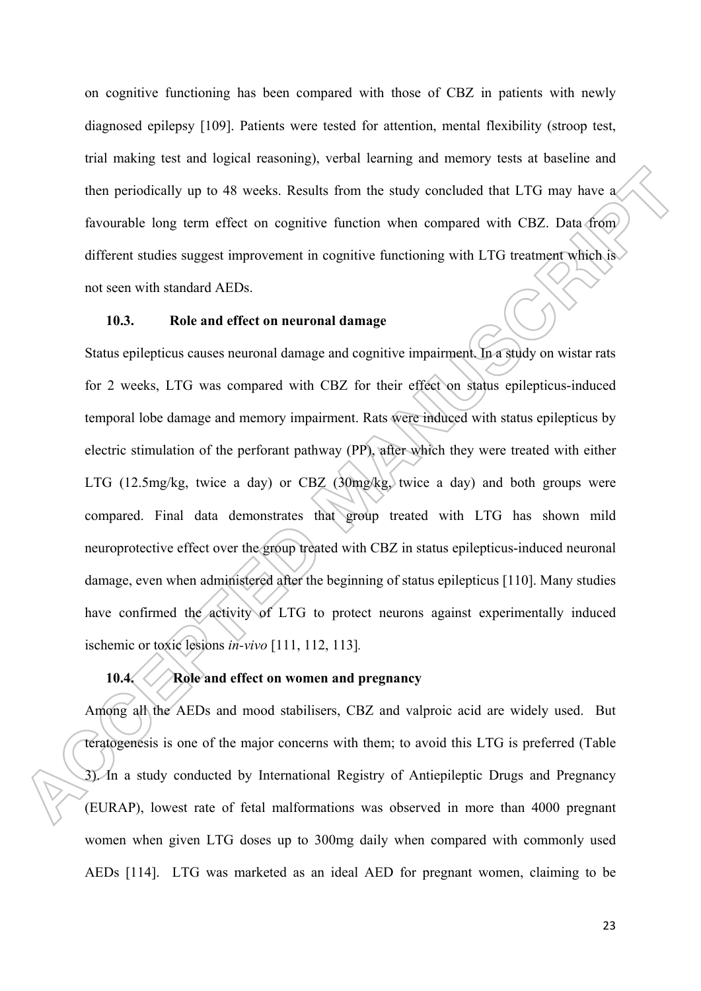on cognitive functioning has been compared with those of CBZ in patients with newly diagnosed epilepsy [109]. Patients were tested for attention, mental flexibility (stroop test, trial making test and logical reasoning), verbal learning and memory tests at baseline and then periodically up to 48 weeks. Results from the study concluded that LTG may have a favourable long term effect on cognitive function when compared with CBZ. Data from different studies suggest improvement in cognitive functioning with LTG treatment which is not seen with standard AEDs.

# **10.3. Role and effect on neuronal damage**

Status epilepticus causes neuronal damage and cognitive impairment. In a study on wistar rats for 2 weeks, LTG was compared with CBZ for their effect on status epilepticus-induced temporal lobe damage and memory impairment. Rats were induced with status epilepticus by electric stimulation of the perforant pathway (PP), after which they were treated with either LTG (12.5mg/kg, twice a day) or CBZ (30mg/kg, twice a day) and both groups were compared. Final data demonstrates that group treated with LTG has shown mild neuroprotective effect over the group treated with CBZ in status epilepticus-induced neuronal damage, even when administered after the beginning of status epilepticus [110]. Many studies have confirmed the activity of LTG to protect neurons against experimentally induced ischemic or toxic lesions *in-vivo* [111, 112, 113]*.*

# **10.4. Role and effect on women and pregnancy**

Among all the AEDs and mood stabilisers, CBZ and valproic acid are widely used. But teratogenesis is one of the major concerns with them; to avoid this LTG is preferred (Table 3). In a study conducted by International Registry of Antiepileptic Drugs and Pregnancy (EURAP), lowest rate of fetal malformations was observed in more than 4000 pregnant women when given LTG doses up to 300mg daily when compared with commonly used AEDs [114]. LTG was marketed as an ideal AED for pregnant women, claiming to be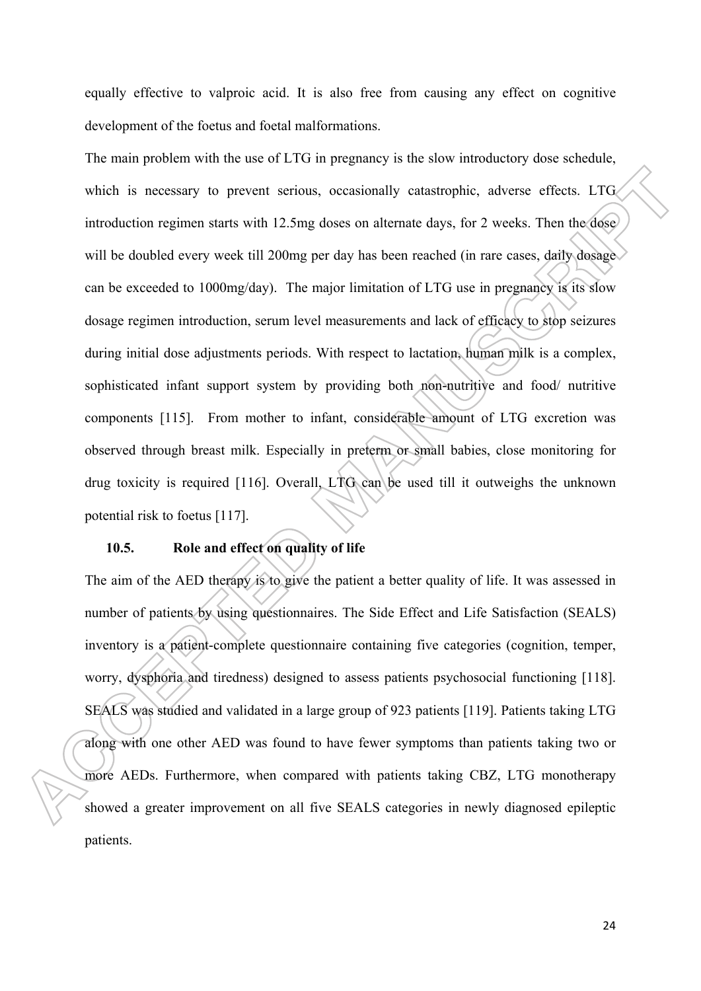equally effective to valproic acid. It is also free from causing any effect on cognitive development of the foetus and foetal malformations.

The main problem with the use of LTG in pregnancy is the slow introductory dose schedule, which is necessary to prevent serious, occasionally catastrophic, adverse effects. LTG introduction regimen starts with 12.5mg doses on alternate days, for 2 weeks. Then the dose will be doubled every week till 200mg per day has been reached (in rare cases, daily dosage can be exceeded to 1000mg/day). The major limitation of LTG use in pregnancy is its slow dosage regimen introduction, serum level measurements and lack of efficacy to stop seizures during initial dose adjustments periods. With respect to lactation, human milk is a complex, sophisticated infant support system by providing both non-nutritive and food/ nutritive components [115]. From mother to infant, considerable amount of LTG excretion was observed through breast milk. Especially in preterm or small babies, close monitoring for drug toxicity is required [116]. Overall, LTG can be used till it outweighs the unknown potential risk to foetus [117].

# **10.5. Role and effect on quality of life**

The aim of the AED therapy is to give the patient a better quality of life. It was assessed in number of patients by using questionnaires. The Side Effect and Life Satisfaction (SEALS) inventory is a patient-complete questionnaire containing five categories (cognition, temper, worry, dysphoria and tiredness) designed to assess patients psychosocial functioning [118]. SEALS was studied and validated in a large group of 923 patients [119]. Patients taking LTG along with one other AED was found to have fewer symptoms than patients taking two or more AEDs. Furthermore, when compared with patients taking CBZ, LTG monotherapy showed a greater improvement on all five SEALS categories in newly diagnosed epileptic patients.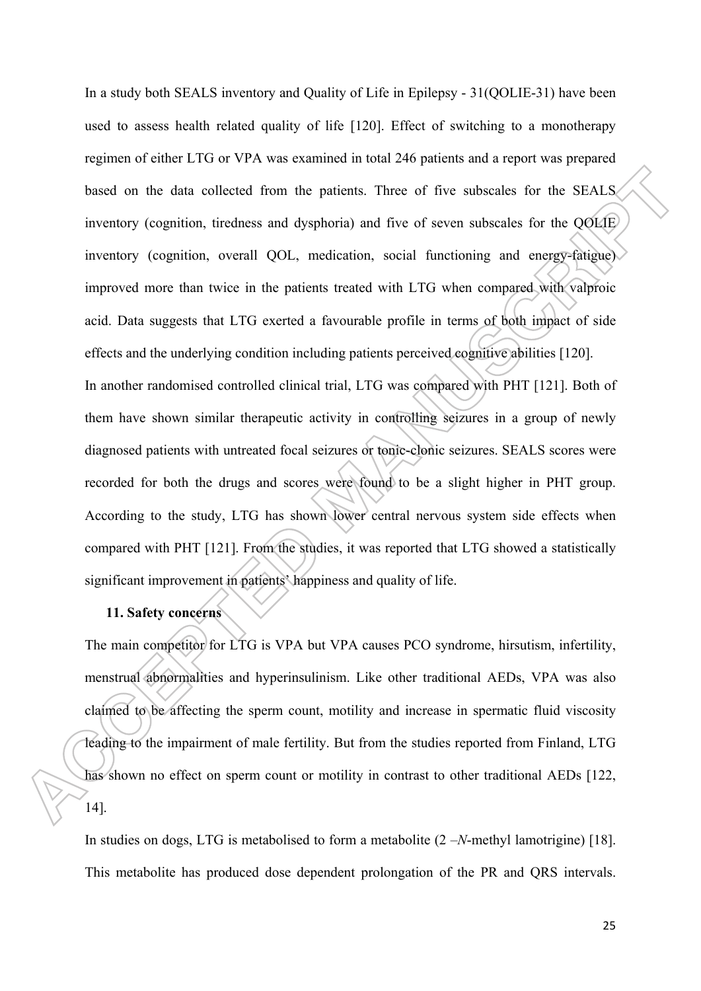In a study both SEALS inventory and Quality of Life in Epilepsy - 31(QOLIE-31) have been used to assess health related quality of life [120]. Effect of switching to a monotherapy regimen of either LTG or VPA was examined in total 246 patients and a report was prepared based on the data collected from the patients. Three of five subscales for the SEALS inventory (cognition, tiredness and dysphoria) and five of seven subscales for the QOLIE inventory (cognition, overall QOL, medication, social functioning and energy-fatigue) improved more than twice in the patients treated with LTG when compared with valproic acid. Data suggests that LTG exerted a favourable profile in terms of both impact of side effects and the underlying condition including patients perceived cognitive abilities [120]. In another randomised controlled clinical trial, LTG was compared with PHT [121]. Both of them have shown similar therapeutic activity in controlling seizures in a group of newly diagnosed patients with untreated focal seizures or tonic-clonic seizures. SEALS scores were recorded for both the drugs and scores were found to be a slight higher in PHT group. According to the study, LTG has shown lower central nervous system side effects when compared with PHT [121]. From the studies, it was reported that LTG showed a statistically significant improvement in patients' happiness and quality of life.

## **11. Safety concerns**

The main competitor for LTG is VPA but VPA causes PCO syndrome, hirsutism, infertility, menstrual abnormalities and hyperinsulinism. Like other traditional AEDs, VPA was also claimed to be affecting the sperm count, motility and increase in spermatic fluid viscosity leading to the impairment of male fertility. But from the studies reported from Finland, LTG has shown no effect on sperm count or motility in contrast to other traditional AEDs [122, 14].

In studies on dogs, LTG is metabolised to form a metabolite (2 –*N*-methyl lamotrigine) [18]. This metabolite has produced dose dependent prolongation of the PR and QRS intervals.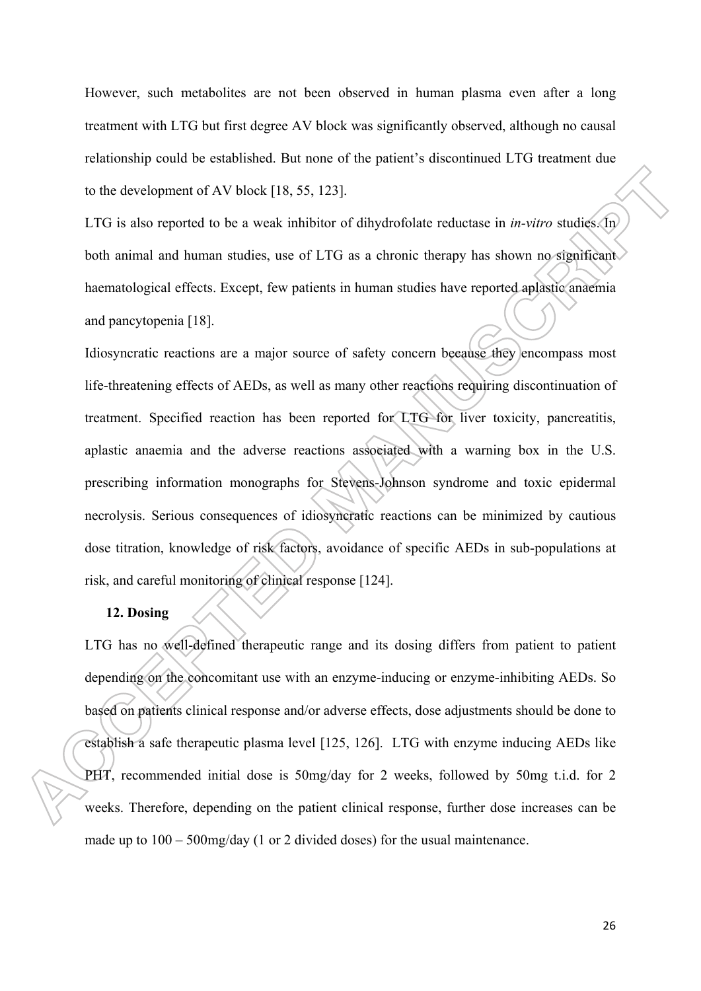However, such metabolites are not been observed in human plasma even after a long treatment with LTG but first degree AV block was significantly observed, although no causal relationship could be established. But none of the patient's discontinued LTG treatment due to the development of AV block [18, 55, 123].

LTG is also reported to be a weak inhibitor of dihydrofolate reductase in *in-vitro* studies. In both animal and human studies, use of LTG as a chronic therapy has shown no significant haematological effects. Except, few patients in human studies have reported aplastic anaemia and pancytopenia [18].

Idiosyncratic reactions are a major source of safety concern because they encompass most life-threatening effects of AEDs, as well as many other reactions requiring discontinuation of treatment. Specified reaction has been reported for LTG for liver toxicity, pancreatitis, aplastic anaemia and the adverse reactions associated with a warning box in the U.S. prescribing information monographs for Stevens-Johnson syndrome and toxic epidermal necrolysis. Serious consequences of idiosyncratic reactions can be minimized by cautious dose titration, knowledge of risk factors, avoidance of specific AEDs in sub-populations at risk, and careful monitoring of clinical response [124].

## **12. Dosing**

LTG has no well-defined therapeutic range and its dosing differs from patient to patient depending on the concomitant use with an enzyme-inducing or enzyme-inhibiting AEDs. So based on patients clinical response and/or adverse effects, dose adjustments should be done to establish a safe therapeutic plasma level [125, 126]. LTG with enzyme inducing AEDs like PHT, recommended initial dose is 50mg/day for 2 weeks, followed by 50mg t.i.d. for 2 weeks. Therefore, depending on the patient clinical response, further dose increases can be made up to 100 – 500mg/day (1 or 2 divided doses) for the usual maintenance.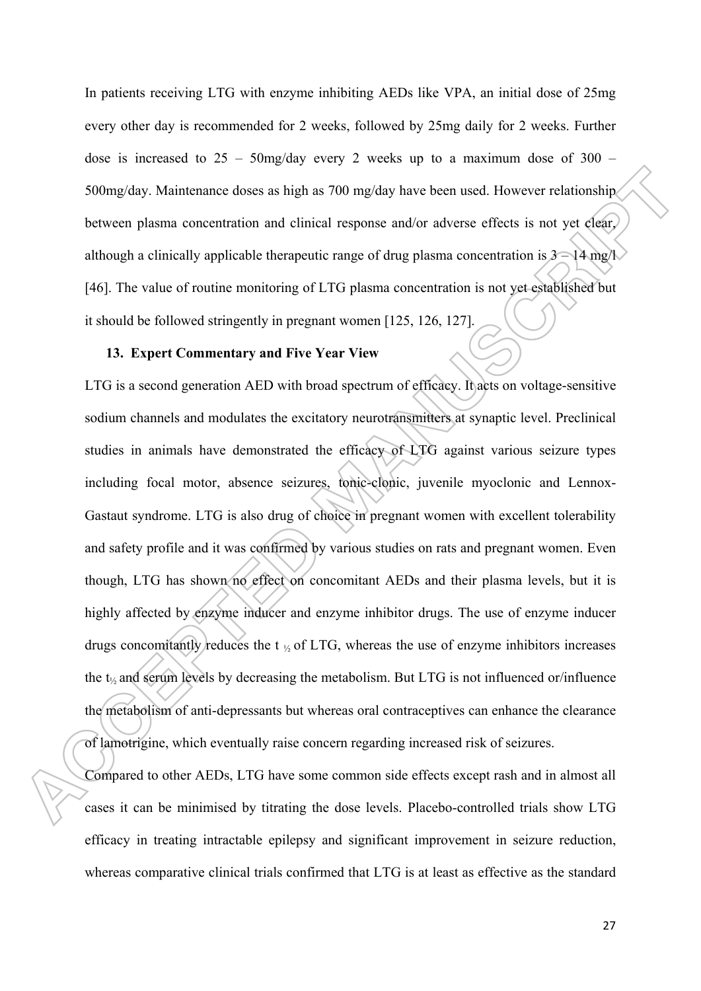In patients receiving LTG with enzyme inhibiting AEDs like VPA, an initial dose of 25mg every other day is recommended for 2 weeks, followed by 25mg daily for 2 weeks. Further dose is increased to  $25 - 50$ mg/day every 2 weeks up to a maximum dose of  $300 -$ 500mg/day. Maintenance doses as high as 700 mg/day have been used. However relationship between plasma concentration and clinical response and/or adverse effects is not yet clear, although a clinically applicable therapeutic range of drug plasma concentration is  $3 - 14$  mg/l [46]. The value of routine monitoring of LTG plasma concentration is not yet established but it should be followed stringently in pregnant women [125, 126, 127].

#### **13. Expert Commentary and Five Year View**

LTG is a second generation AED with broad spectrum of efficacy. It acts on voltage-sensitive sodium channels and modulates the excitatory neurotransmitters at synaptic level. Preclinical studies in animals have demonstrated the efficacy of LTG against various seizure types including focal motor, absence seizures, tonic-clonic, juvenile myoclonic and Lennox-Gastaut syndrome. LTG is also drug of choice in pregnant women with excellent tolerability and safety profile and it was confirmed by various studies on rats and pregnant women. Even though, LTG has shown no effect on concomitant AEDs and their plasma levels, but it is highly affected by enzyme inducer and enzyme inhibitor drugs. The use of enzyme inducer drugs concomitantly reduces the  $t \gamma$  of LTG, whereas the use of enzyme inhibitors increases the t½ and serum levels by decreasing the metabolism. But LTG is not influenced or/influence the metabolism of anti-depressants but whereas oral contraceptives can enhance the clearance of lamotrigine, which eventually raise concern regarding increased risk of seizures.

Compared to other AEDs, LTG have some common side effects except rash and in almost all cases it can be minimised by titrating the dose levels. Placebo-controlled trials show LTG efficacy in treating intractable epilepsy and significant improvement in seizure reduction, whereas comparative clinical trials confirmed that LTG is at least as effective as the standard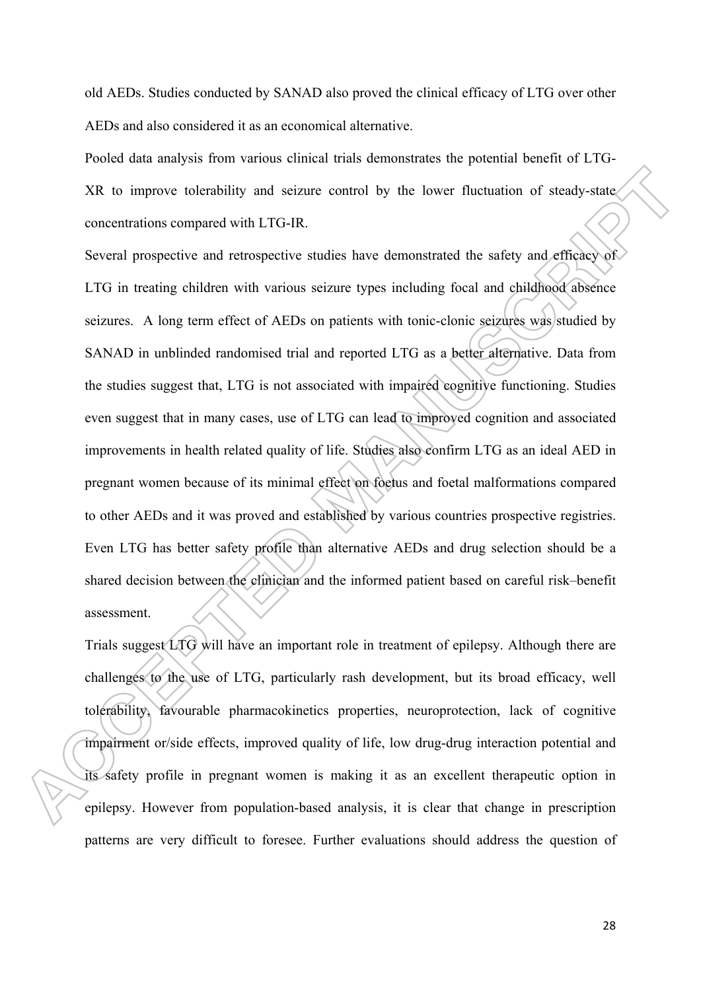old AEDs. Studies conducted by SANAD also proved the clinical efficacy of LTG over other AEDs and also considered it as an economical alternative.

Pooled data analysis from various clinical trials demonstrates the potential benefit of LTG-XR to improve tolerability and seizure control by the lower fluctuation of steady-state concentrations compared with LTG-IR.

Several prospective and retrospective studies have demonstrated the safety and efficacy of LTG in treating children with various seizure types including focal and childhood absence seizures. A long term effect of AEDs on patients with tonic-clonic seizures was studied by SANAD in unblinded randomised trial and reported LTG as a better alternative. Data from the studies suggest that, LTG is not associated with impaired cognitive functioning. Studies even suggest that in many cases, use of LTG can lead to improved cognition and associated improvements in health related quality of life. Studies also confirm LTG as an ideal AED in pregnant women because of its minimal effect on foetus and foetal malformations compared to other AEDs and it was proved and established by various countries prospective registries. Even LTG has better safety profile than alternative AEDs and drug selection should be a shared decision between the clinician and the informed patient based on careful risk–benefit assessment.

Trials suggest LTG will have an important role in treatment of epilepsy. Although there are challenges to the use of LTG, particularly rash development, but its broad efficacy, well tolerability, favourable pharmacokinetics properties, neuroprotection, lack of cognitive impairment or/side effects, improved quality of life, low drug-drug interaction potential and its safety profile in pregnant women is making it as an excellent therapeutic option in epilepsy. However from population-based analysis, it is clear that change in prescription patterns are very difficult to foresee. Further evaluations should address the question of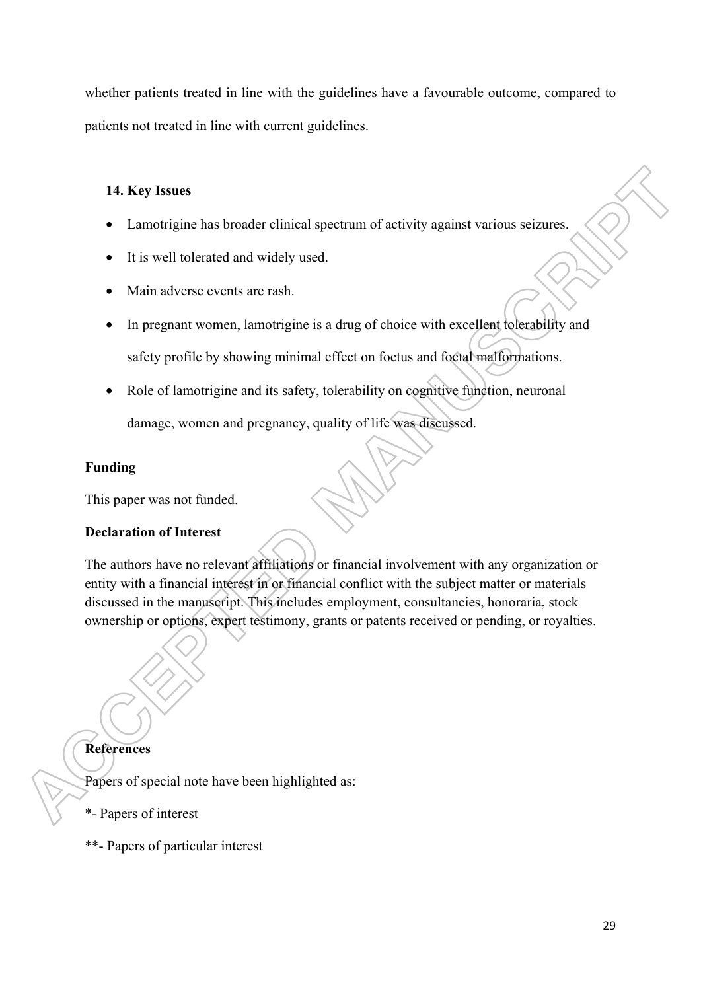whether patients treated in line with the guidelines have a favourable outcome, compared to patients not treated in line with current guidelines.

# **14. Key Issues**

- Lamotrigine has broader clinical spectrum of activity against various seizures.
- It is well tolerated and widely used.
- Main adverse events are rash.
- In pregnant women, lamotrigine is a drug of choice with excellent tolerability and safety profile by showing minimal effect on foetus and foetal malformations.
- Role of lamotrigine and its safety, tolerability on cognitive function, neuronal damage, women and pregnancy, quality of life was discussed.

# **Funding**

This paper was not funded.

# **Declaration of Interest**

The authors have no relevant affiliations or financial involvement with any organization or entity with a financial interest in or financial conflict with the subject matter or materials discussed in the manuscript. This includes employment, consultancies, honoraria, stock ownership or options, expert testimony, grants or patents received or pending, or royalties.

# **References**

Papers of special note have been highlighted as:

- \*- Papers of interest
- \*\*- Papers of particular interest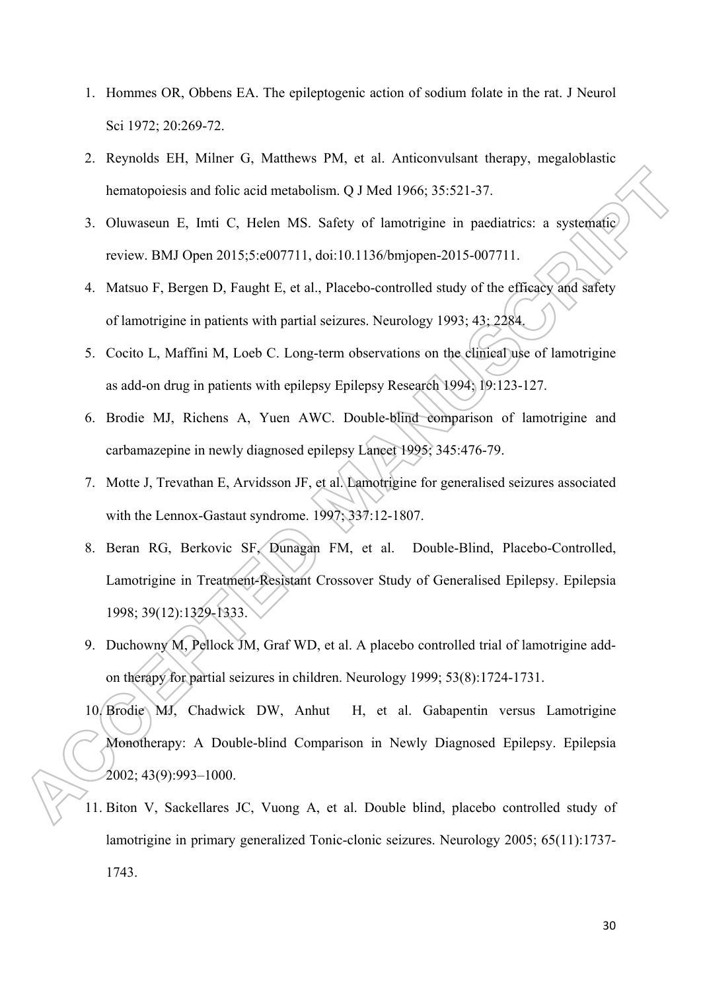- 1. Hommes OR, Obbens EA. The epileptogenic action of sodium folate in the rat. J Neurol Sci 1972; 20:269-72.
- 2. Reynolds EH, Milner G, Matthews PM, et al. Anticonvulsant therapy, megaloblastic hematopoiesis and folic acid metabolism. O J Med 1966; 35:521-37.
- 3. Oluwaseun E, Imti C, Helen MS. Safety of lamotrigine in paediatrics: a systematic review. BMJ Open 2015;5:e007711, doi:10.1136/bmjopen-2015-007711.
- 4. Matsuo F, Bergen D, Faught E, et al., Placebo-controlled study of the efficacy and safety of lamotrigine in patients with partial seizures. Neurology 1993; 43; 2284.
- 5. Cocito L, Maffini M, Loeb C. Long-term observations on the clinical use of lamotrigine as add-on drug in patients with epilepsy Epilepsy Research 1994; 19:123-127.
- 6. Brodie MJ, Richens A, Yuen AWC. Double-blind comparison of lamotrigine and carbamazepine in newly diagnosed epilepsy Lancet 1995; 345:476-79.
- 7. Motte J, Trevathan E, Arvidsson JF, et al. Lamotrigine for generalised seizures associated with the Lennox-Gastaut syndrome. 1997; 337:12-1807.
- 8. Beran RG, Berkovic SF, Dunagan FM, et al. Double-Blind, Placebo-Controlled, Lamotrigine in Treatment-Resistant Crossover Study of Generalised Epilepsy. Epilepsia 1998; 39(12):1329-1333.
- 9. Duchowny M, Pellock JM, Graf WD, et al. A placebo controlled trial of lamotrigine addon therapy for partial seizures in children. Neurology 1999; 53(8):1724-1731.
- 10. Brodie MJ, Chadwick DW, Anhut H, et al. Gabapentin versus Lamotrigine Monotherapy: A Double-blind Comparison in Newly Diagnosed Epilepsy. Epilepsia 2002; 43(9):993–1000.
- 11. Biton V, Sackellares JC, Vuong A, et al. Double blind, placebo controlled study of lamotrigine in primary generalized Tonic-clonic seizures. Neurology 2005; 65(11):1737- 1743.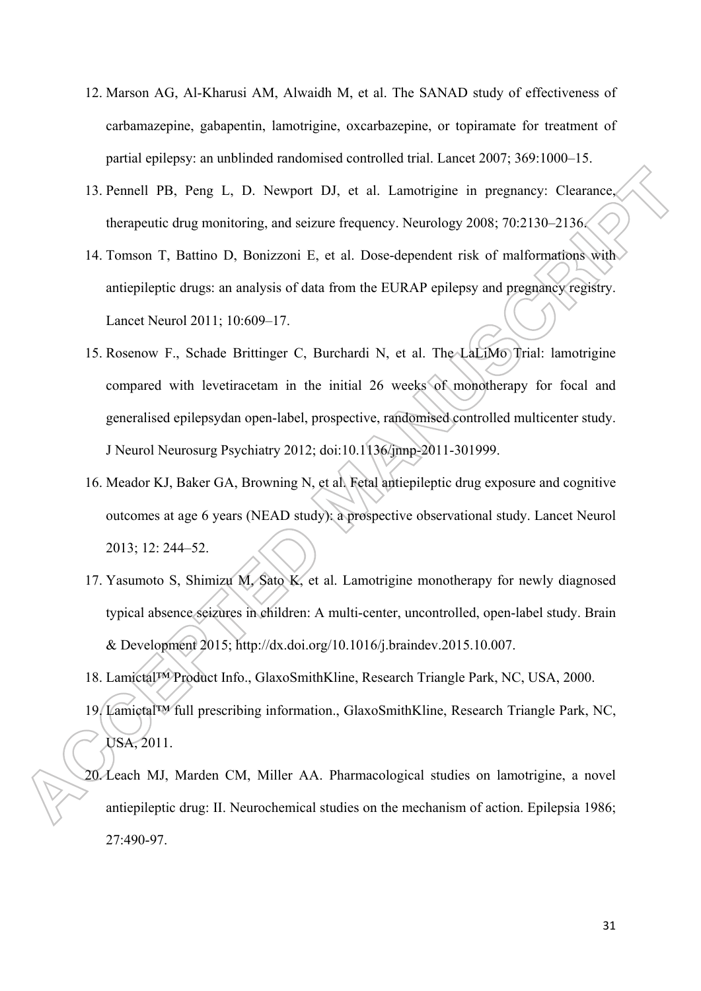- 12. Marson AG, Al-Kharusi AM, Alwaidh M, et al. The SANAD study of effectiveness of carbamazepine, gabapentin, lamotrigine, oxcarbazepine, or topiramate for treatment of partial epilepsy: an unblinded randomised controlled trial. Lancet 2007; 369:1000–15.
- 13. Pennell PB, Peng L, D. Newport DJ, et al. Lamotrigine in pregnancy: Clearance, therapeutic drug monitoring, and seizure frequency. Neurology 2008; 70:2130–2136.
- 14. Tomson T, Battino D, Bonizzoni E, et al. Dose-dependent risk of malformations with antiepileptic drugs: an analysis of data from the EURAP epilepsy and pregnancy registry. Lancet Neurol 2011; 10:609–17.
- 15. Rosenow F., Schade Brittinger C, Burchardi N, et al. The LaLiMo Trial: lamotrigine compared with levetiracetam in the initial 26 weeks of monotherapy for focal and generalised epilepsydan open-label, prospective, randomised controlled multicenter study. J Neurol Neurosurg Psychiatry 2012; doi:10.1136/jnnp-2011-301999.
- 16. Meador KJ, Baker GA, Browning N, et al. Fetal antiepileptic drug exposure and cognitive outcomes at age 6 years (NEAD study): a prospective observational study. Lancet Neurol 2013; 12: 244–52.
- 17. Yasumoto S, Shimizu M, Sato K, et al. Lamotrigine monotherapy for newly diagnosed typical absence seizures in children: A multi-center, uncontrolled, open-label study. Brain & Development 2015; http://dx.doi.org/10.1016/j.braindev.2015.10.007.
- 18. Lamictal™ Product Info., GlaxoSmithKline, Research Triangle Park, NC, USA, 2000.
- 19. Lamictal™ full prescribing information., GlaxoSmithKline, Research Triangle Park, NC, USA, 2011.
- 20. Leach MJ, Marden CM, Miller AA. Pharmacological studies on lamotrigine, a novel antiepileptic drug: II. Neurochemical studies on the mechanism of action. Epilepsia 1986; 27:490-97.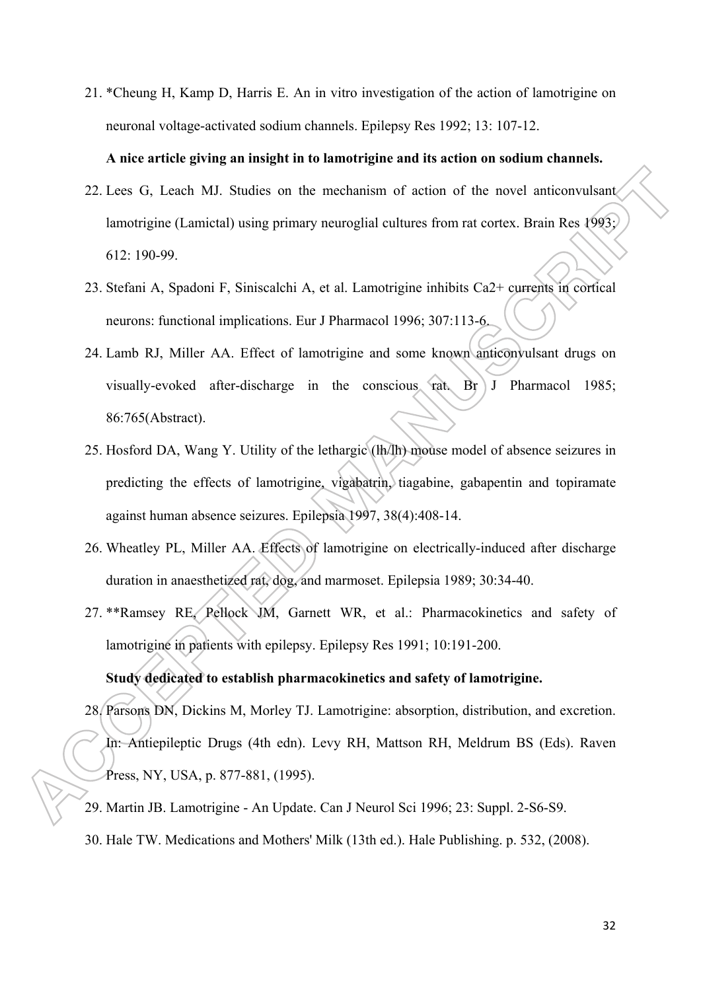21. \*Cheung H, Kamp D, Harris E. An in vitro investigation of the action of lamotrigine on neuronal voltage-activated sodium channels. Epilepsy Res 1992; 13: 107-12.

#### **A nice article giving an insight in to lamotrigine and its action on sodium channels.**

- 22. Lees G, Leach MJ. Studies on the mechanism of action of the novel anticonvulsant lamotrigine (Lamictal) using primary neuroglial cultures from rat cortex. Brain Res 1993; 612: 190-99.
- 23. Stefani A, Spadoni F, Siniscalchi A, et al. Lamotrigine inhibits Ca2+ currents in cortical neurons: functional implications. Eur J Pharmacol 1996; 307:113-6.
- 24. Lamb RJ, Miller AA. Effect of lamotrigine and some known anticonvulsant drugs on visually-evoked after-discharge in the conscious rat. Br J Pharmacol 1985; 86:765(Abstract).
- 25. Hosford DA, Wang Y. Utility of the lethargic (lh/lh) mouse model of absence seizures in predicting the effects of lamotrigine, vigabatrin, tiagabine, gabapentin and topiramate against human absence seizures. Epilepsia 1997, 38(4):408-14.
- 26. Wheatley PL, Miller AA. Effects of lamotrigine on electrically-induced after discharge duration in anaesthetized rat, dog, and marmoset. Epilepsia 1989; 30:34-40.
- 27. \*\*Ramsey RE, Pellock JM, Garnett WR, et al.: Pharmacokinetics and safety of lamotrigine in patients with epilepsy. Epilepsy Res 1991; 10:191-200.

# **Study dedicated to establish pharmacokinetics and safety of lamotrigine.**

- 28. Parsons DN, Dickins M, Morley TJ. Lamotrigine: absorption, distribution, and excretion. In: Antiepileptic Drugs (4th edn). Levy RH, Mattson RH, Meldrum BS (Eds). Raven Press, NY, USA, p. 877-881, (1995).
- 29. Martin JB. Lamotrigine An Update. Can J Neurol Sci 1996; 23: Suppl. 2-S6-S9.
- 30. Hale TW. Medications and Mothers' Milk (13th ed.). Hale Publishing. p. 532, (2008).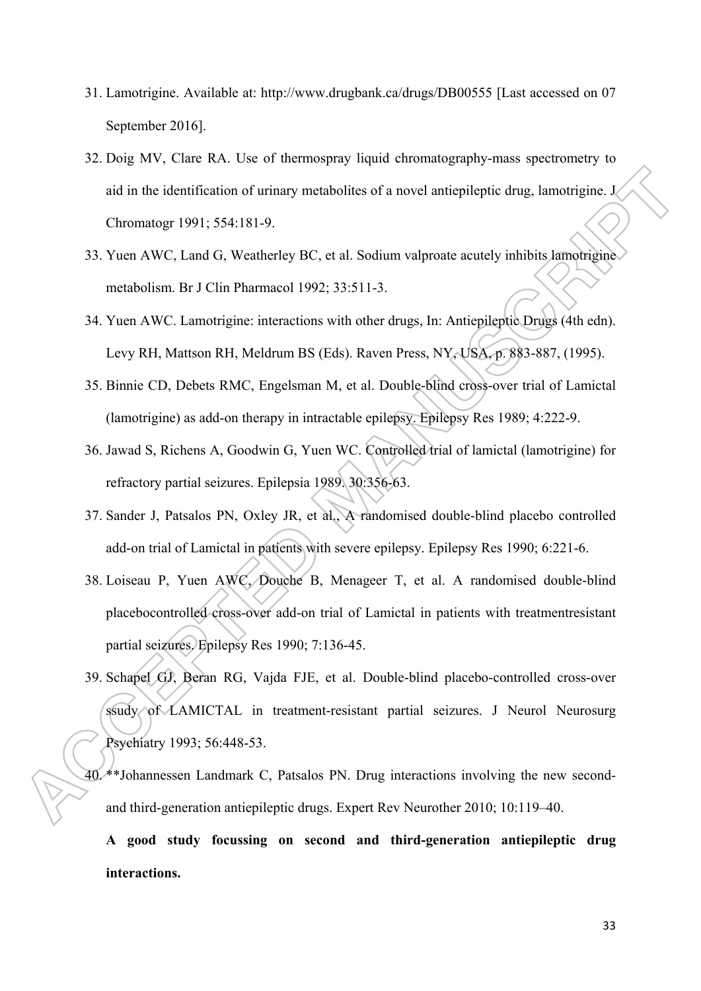- 31. Lamotrigine. Available at: http://www.drugbank.ca/drugs/DB00555 [Last accessed on 07 September 2016].
- 32. Doig MV, Clare RA. Use of thermospray liquid chromatography-mass spectrometry to aid in the identification of urinary metabolites of a novel antiepileptic drug, lamotrigine. J Chromatogr 1991; 554:181-9.
- 33. Yuen AWC, Land G, Weatherley BC, et al. Sodium valproate acutely inhibits lamotrigine metabolism. Br J Clin Pharmacol 1992; 33:511-3.
- 34. Yuen AWC. Lamotrigine: interactions with other drugs, In: Antiepileptic Drugs (4th edn). Levy RH, Mattson RH, Meldrum BS (Eds). Raven Press, NY, USA, p. 883-887, (1995).
- 35. Binnie CD, Debets RMC, Engelsman M, et al. Double-blind cross-over trial of Lamictal (lamotrigine) as add-on therapy in intractable epilepsy. Epilepsy Res 1989; 4:222-9.
- 36. Jawad S, Richens A, Goodwin G, Yuen WC. Controlled trial of lamictal (lamotrigine) for refractory partial seizures. Epilepsia 1989. 30:356-63.
- 37. Sander J, Patsalos PN, Oxley JR, et al., A randomised double-blind placebo controlled add-on trial of Lamictal in patients with severe epilepsy. Epilepsy Res 1990; 6:221-6.
- 38. Loiseau P, Yuen AWC, Douche B, Menageer T, et al. A randomised double-blind placebocontrolled cross-over add-on trial of Lamictal in patients with treatmentresistant partial seizures. Epilepsy Res 1990; 7:136-45.
- 39. Schapel GJ, Beran RG, Vajda FJE, et al. Double-blind placebo-controlled cross-over ssudy of LAMICTAL in treatment-resistant partial seizures. J Neurol Neurosurg Psychiatry 1993; 56:448-53.
- 40. \*\*Johannessen Landmark C, Patsalos PN. Drug interactions involving the new secondand third-generation antiepileptic drugs. Expert Rev Neurother 2010; 10:119–40.

**A good study focussing on second and third-generation antiepileptic drug interactions.**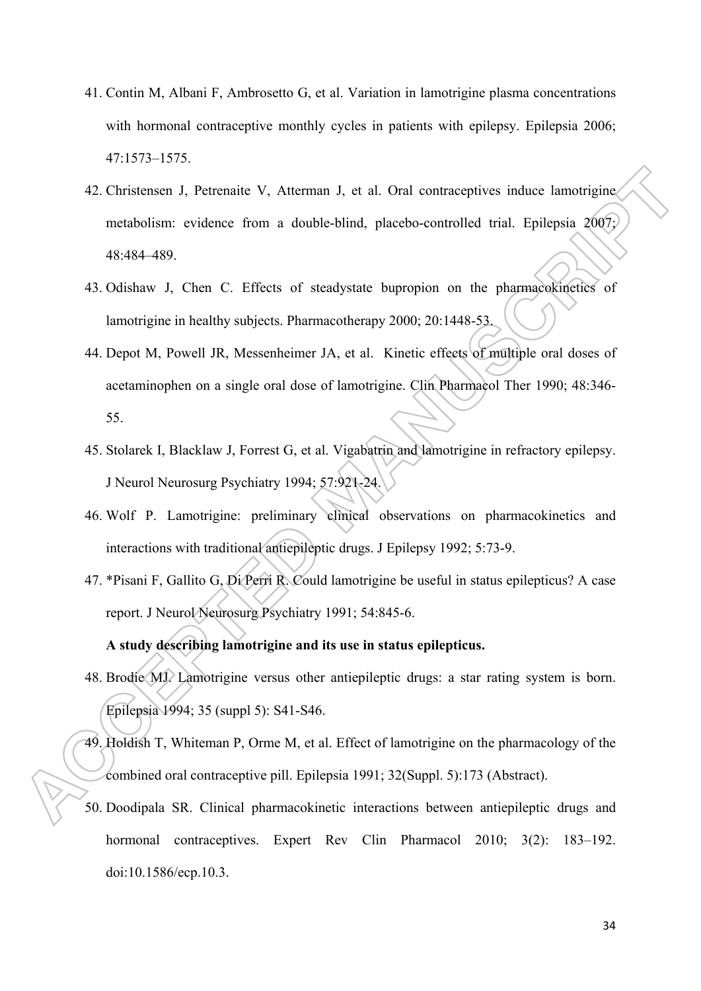- 41. Contin M, Albani F, Ambrosetto G, et al. Variation in lamotrigine plasma concentrations with hormonal contraceptive monthly cycles in patients with epilepsy. Epilepsia 2006; 47:1573–1575.
- 42. Christensen J, Petrenaite V, Atterman J, et al. Oral contraceptives induce lamotrigine metabolism: evidence from a double-blind, placebo-controlled trial. Epilepsia 2007; 48:484–489.
- 43. Odishaw J, Chen C. Effects of steadystate bupropion on the pharmacokinetics of lamotrigine in healthy subjects. Pharmacotherapy 2000; 20:1448-53.
- 44. Depot M, Powell JR, Messenheimer JA, et al. Kinetic effects of multiple oral doses of acetaminophen on a single oral dose of lamotrigine. Clin Pharmacol Ther 1990; 48:346- 55.
- 45. Stolarek I, Blacklaw J, Forrest G, et al. Vigabatrin and lamotrigine in refractory epilepsy. J Neurol Neurosurg Psychiatry 1994; 57:921-24.
- 46. Wolf P. Lamotrigine: preliminary clinical observations on pharmacokinetics and interactions with traditional antiepileptic drugs. J Epilepsy 1992; 5:73-9.
- 47. \*Pisani F, Gallito G, Di Perri R. Could lamotrigine be useful in status epilepticus? A case report. J Neurol Neurosurg Psychiatry 1991; 54:845-6.

# **A study describing lamotrigine and its use in status epilepticus.**

- 48. Brodie MJ. Lamotrigine versus other antiepileptic drugs: a star rating system is born. Epilepsia 1994; 35 (suppl 5): S41-S46.
- 49. Holdish T, Whiteman P, Orme M, et al. Effect of lamotrigine on the pharmacology of the combined oral contraceptive pill. Epilepsia 1991; 32(Suppl. 5):173 (Abstract).
- 50. Doodipala SR. Clinical pharmacokinetic interactions between antiepileptic drugs and hormonal contraceptives. Expert Rev Clin Pharmacol 2010; 3(2): 183–192. doi:10.1586/ecp.10.3.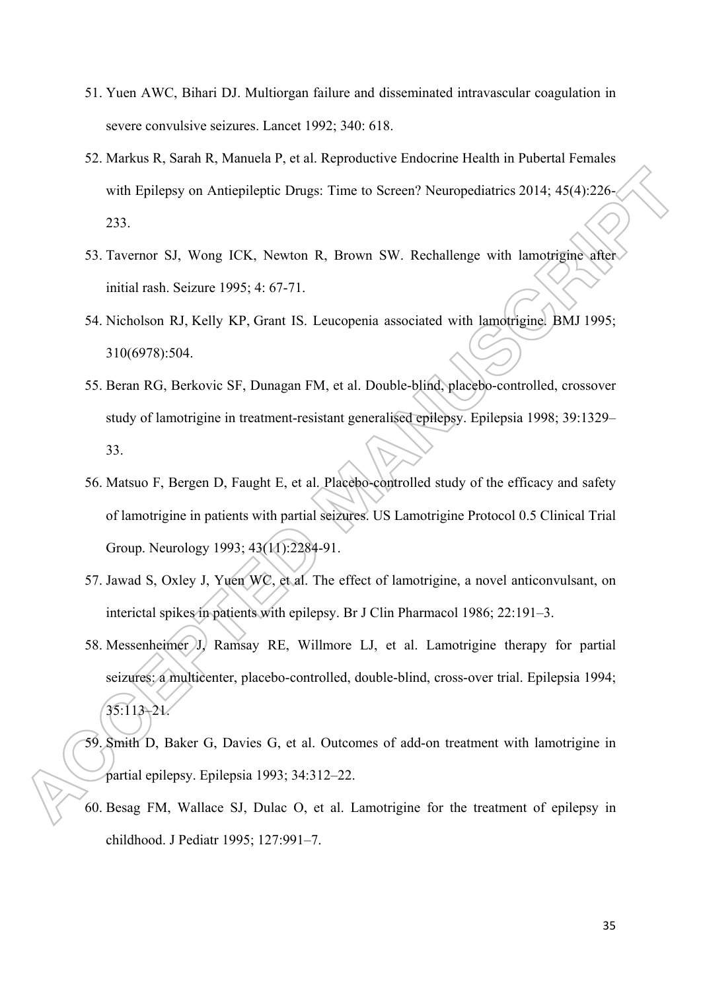- 51. Yuen AWC, Bihari DJ. Multiorgan failure and disseminated intravascular coagulation in severe convulsive seizures. Lancet 1992; 340: 618.
- 52. Markus R, Sarah R, Manuela P, et al. Reproductive Endocrine Health in Pubertal Females with Epilepsy on Antiepileptic Drugs: Time to Screen? Neuropediatrics 2014; 45(4):226-233.
- 53. Tavernor SJ, Wong ICK, Newton R, Brown SW. Rechallenge with lamotrigine after initial rash. Seizure 1995; 4: 67-71.
- 54. Nicholson RJ, Kelly KP, Grant IS. Leucopenia associated with lamotrigine. BMJ 1995; 310(6978):504.
- 55. Beran RG, Berkovic SF, Dunagan FM, et al. Double-blind, placebo-controlled, crossover study of lamotrigine in treatment-resistant generalised epilepsy. Epilepsia 1998; 39:1329– 33.
- 56. Matsuo F, Bergen D, Faught E, et al. Placebo-controlled study of the efficacy and safety of lamotrigine in patients with partial seizures. US Lamotrigine Protocol 0.5 Clinical Trial Group. Neurology 1993; 43(11):2284-91.
- 57. Jawad S, Oxley J, Yuen WC, et al. The effect of lamotrigine, a novel anticonvulsant, on interictal spikes in patients with epilepsy. Br J Clin Pharmacol 1986; 22:191–3.
- 58. Messenheimer J, Ramsay RE, Willmore LJ, et al. Lamotrigine therapy for partial seizures: a multicenter, placebo-controlled, double-blind, cross-over trial. Epilepsia 1994; 35:113–21.
- 59. Smith D, Baker G, Davies G, et al. Outcomes of add-on treatment with lamotrigine in partial epilepsy. Epilepsia 1993; 34:312–22.
- 60. Besag FM, Wallace SJ, Dulac O, et al. Lamotrigine for the treatment of epilepsy in childhood. J Pediatr 1995; 127:991–7.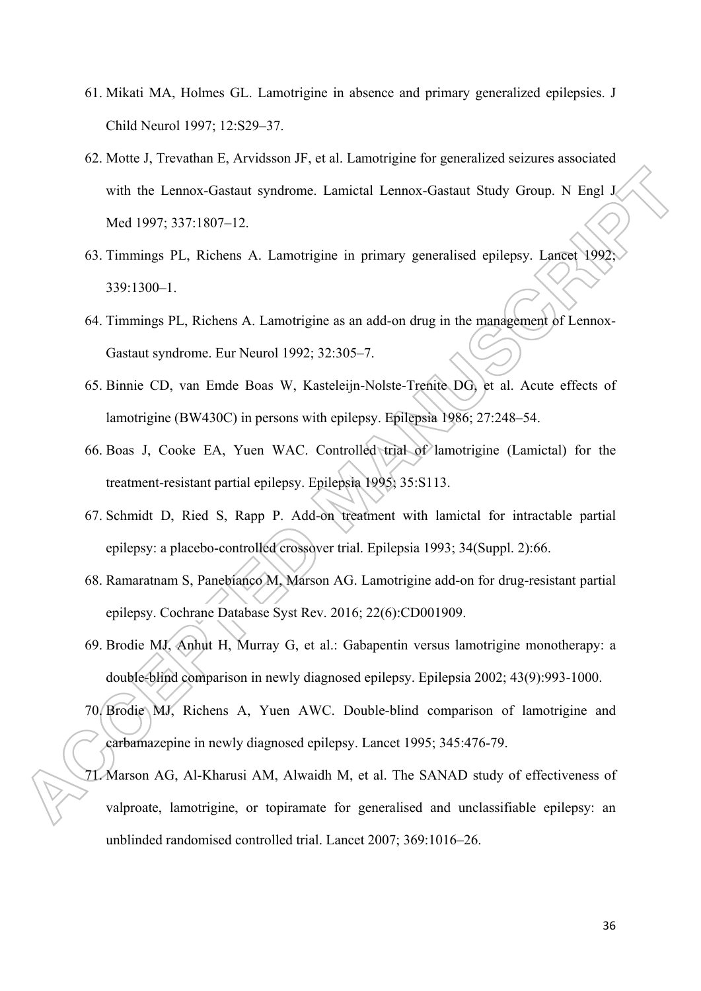- 61. Mikati MA, Holmes GL. Lamotrigine in absence and primary generalized epilepsies. J Child Neurol 1997; 12:S29–37.
- 62. Motte J, Trevathan E, Arvidsson JF, et al. Lamotrigine for generalized seizures associated with the Lennox-Gastaut syndrome. Lamictal Lennox-Gastaut Study Group. N Engl J Med 1997; 337:1807–12.
- 63. Timmings PL, Richens A. Lamotrigine in primary generalised epilepsy. Lancet 1992; 339:1300–1.
- 64. Timmings PL, Richens A. Lamotrigine as an add-on drug in the management of Lennox-Gastaut syndrome. Eur Neurol 1992; 32:305–7.
- 65. Binnie CD, van Emde Boas W, Kasteleijn-Nolste-Trenite DG, et al. Acute effects of lamotrigine (BW430C) in persons with epilepsy. Epilepsia 1986; 27:248–54.
- 66. Boas J, Cooke EA, Yuen WAC. Controlled trial of lamotrigine (Lamictal) for the treatment-resistant partial epilepsy. Epilepsia 1995; 35:S113.
- 67. Schmidt D, Ried S, Rapp P. Add-on treatment with lamictal for intractable partial epilepsy: a placebo-controlled crossover trial. Epilepsia 1993; 34(Suppl. 2):66.
- 68. Ramaratnam S, Panebianco M, Marson AG. Lamotrigine add-on for drug-resistant partial epilepsy. Cochrane Database Syst Rev. 2016; 22(6):CD001909.
- 69. Brodie MJ, Anhut H, Murray G, et al.: Gabapentin versus lamotrigine monotherapy: a double-blind comparison in newly diagnosed epilepsy. Epilepsia 2002; 43(9):993-1000.
- 70. Brodie MJ, Richens A, Yuen AWC. Double-blind comparison of lamotrigine and carbamazepine in newly diagnosed epilepsy. Lancet 1995; 345:476-79.
- 71. Marson AG, Al-Kharusi AM, Alwaidh M, et al. The SANAD study of effectiveness of valproate, lamotrigine, or topiramate for generalised and unclassifiable epilepsy: an unblinded randomised controlled trial. Lancet 2007; 369:1016–26.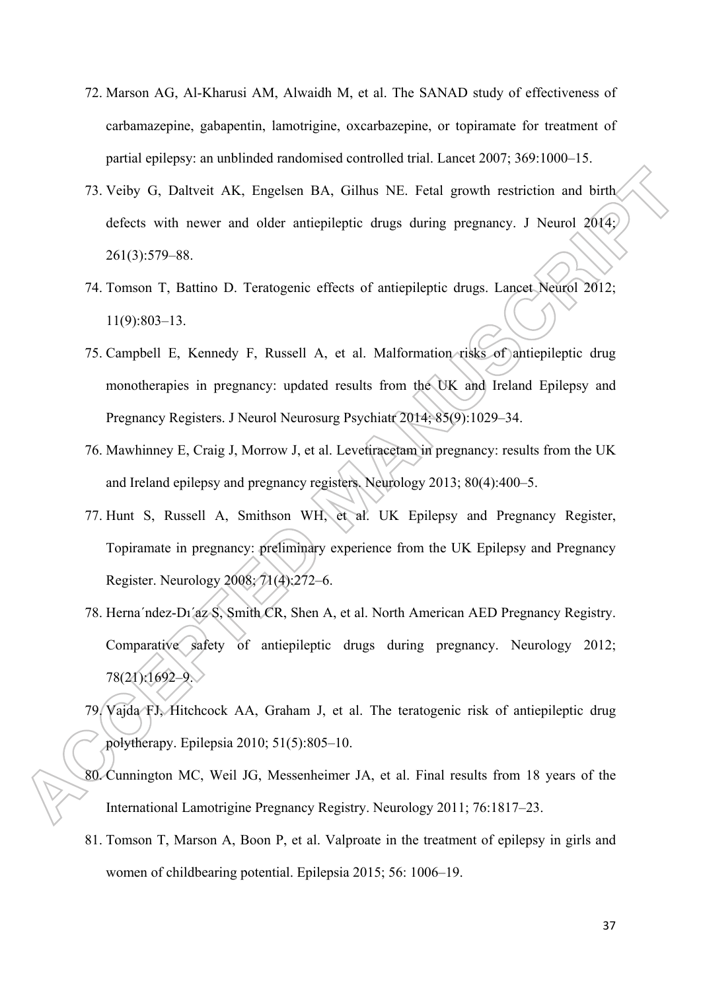- 72. Marson AG, Al-Kharusi AM, Alwaidh M, et al. The SANAD study of effectiveness of carbamazepine, gabapentin, lamotrigine, oxcarbazepine, or topiramate for treatment of partial epilepsy: an unblinded randomised controlled trial. Lancet 2007; 369:1000–15.
- 73. Veiby G, Daltveit AK, Engelsen BA, Gilhus NE. Fetal growth restriction and birth defects with newer and older antiepileptic drugs during pregnancy. J Neurol 2014; 261(3):579–88.
- 74. Tomson T, Battino D. Teratogenic effects of antiepileptic drugs. Lancet Neurol 2012; 11(9):803–13.
- 75. Campbell E, Kennedy F, Russell A, et al. Malformation risks of antiepileptic drug monotherapies in pregnancy: updated results from the UK and Ireland Epilepsy and Pregnancy Registers. J Neurol Neurosurg Psychiatr 2014; 85(9):1029–34.
- 76. Mawhinney E, Craig J, Morrow J, et al. Levetiracetam in pregnancy: results from the UK and Ireland epilepsy and pregnancy registers. Neurology 2013; 80(4):400–5.
- 77. Hunt S, Russell A, Smithson WH, et al. UK Epilepsy and Pregnancy Register, Topiramate in pregnancy: preliminary experience from the UK Epilepsy and Pregnancy Register. Neurology 2008; 71(4):272–6.
- 78. Herna´ndez-Dı´az S, Smith CR, Shen A, et al. North American AED Pregnancy Registry. Comparative safety of antiepileptic drugs during pregnancy. Neurology 2012; 78(21):1692–9.
- 79. Vajda FJ, Hitchcock AA, Graham J, et al. The teratogenic risk of antiepileptic drug polytherapy. Epilepsia 2010; 51(5):805–10.
- 80. Cunnington MC, Weil JG, Messenheimer JA, et al. Final results from 18 years of the International Lamotrigine Pregnancy Registry. Neurology 2011; 76:1817–23.
- 81. Tomson T, Marson A, Boon P, et al. Valproate in the treatment of epilepsy in girls and women of childbearing potential. Epilepsia 2015; 56: 1006–19.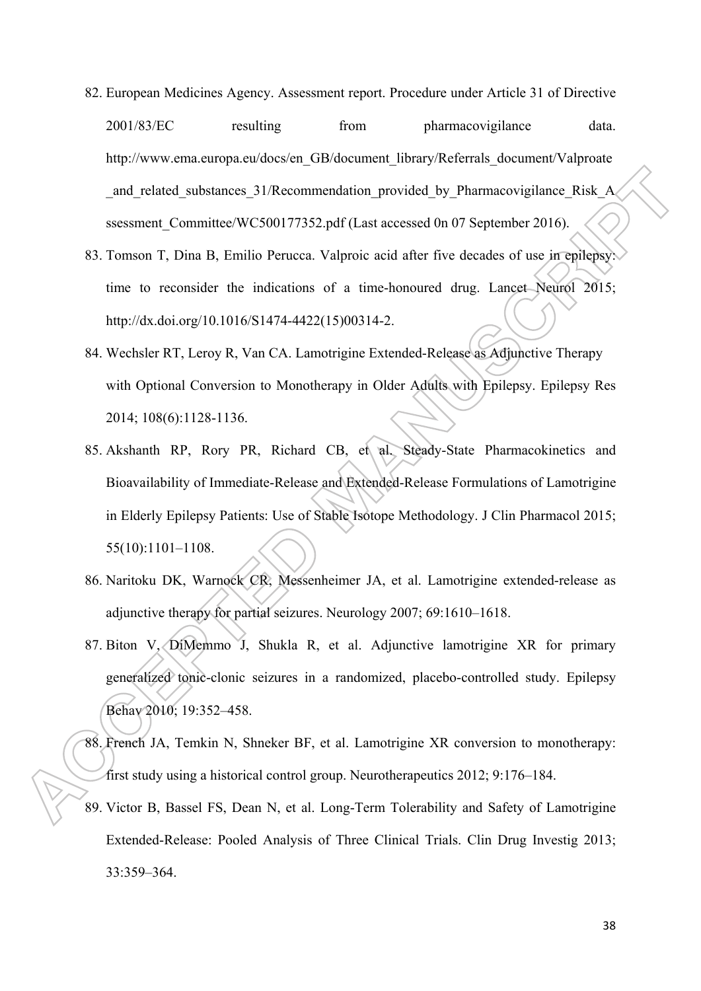- 82. European Medicines Agency. Assessment report. Procedure under Article 31 of Directive 2001/83/EC resulting from pharmacovigilance data. http://www.ema.europa.eu/docs/en\_GB/document\_library/Referrals\_document/Valproate and related substances 31/Recommendation provided by Pharmacovigilance Risk A ssessment Committee/WC500177352.pdf (Last accessed 0n 07 September 2016).
- 83. Tomson T, Dina B, Emilio Perucca. Valproic acid after five decades of use in epilepsy: time to reconsider the indications of a time-honoured drug. Lancet Neurol 2015; http://dx.doi.org/10.1016/S1474-4422(15)00314-2.
- 84. Wechsler RT, Leroy R, Van CA. Lamotrigine Extended-Release as Adjunctive Therapy with Optional Conversion to Monotherapy in Older Adults with Epilepsy. Epilepsy Res 2014; 108(6):1128-1136.
- 85. Akshanth RP, Rory PR, Richard CB, et al. Steady-State Pharmacokinetics and Bioavailability of Immediate-Release and Extended-Release Formulations of Lamotrigine in Elderly Epilepsy Patients: Use of Stable Isotope Methodology. J Clin Pharmacol 2015; 55(10):1101–1108.
- 86. Naritoku DK, Warnock CR, Messenheimer JA, et al. Lamotrigine extended-release as adjunctive therapy for partial seizures. Neurology 2007; 69:1610–1618.
- 87. Biton V, DiMemmo J, Shukla R, et al. Adjunctive lamotrigine XR for primary generalized tonic-clonic seizures in a randomized, placebo-controlled study. Epilepsy Behav 2010; 19:352–458.
- 88. French JA, Temkin N, Shneker BF, et al. Lamotrigine XR conversion to monotherapy: first study using a historical control group. Neurotherapeutics 2012; 9:176–184.
- 89. Victor B, Bassel FS, Dean N, et al. Long-Term Tolerability and Safety of Lamotrigine Extended-Release: Pooled Analysis of Three Clinical Trials. Clin Drug Investig 2013; 33:359–364.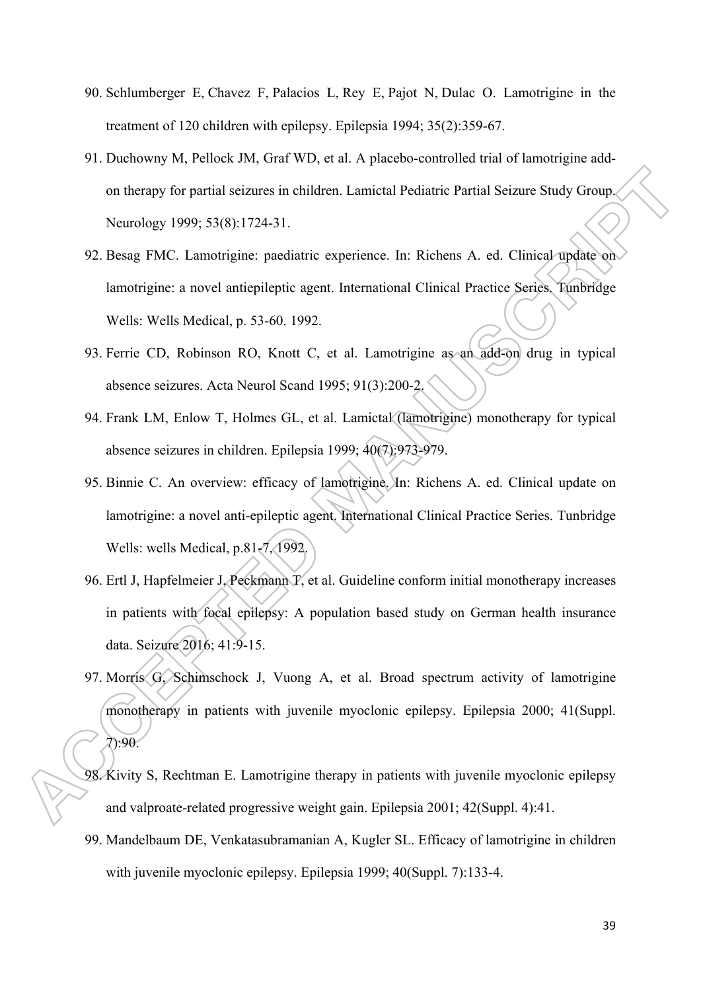- 90. Schlumberger E, Chavez F, Palacios L, Rey E, Pajot N, Dulac O. Lamotrigine in the treatment of 120 children with epilepsy. Epilepsia 1994; 35(2):359-67.
- 91. Duchowny M, Pellock JM, Graf WD, et al. A placebo-controlled trial of lamotrigine addon therapy for partial seizures in children. Lamictal Pediatric Partial Seizure Study Group. Neurology 1999; 53(8):1724-31.
- 92. Besag FMC. Lamotrigine: paediatric experience. In: Richens A. ed. Clinical update on lamotrigine: a novel antiepileptic agent. International Clinical Practice Series. Tunbridge Wells: Wells Medical, p. 53-60. 1992.
- 93. Ferrie CD, Robinson RO, Knott C, et al. Lamotrigine as an add-on drug in typical absence seizures. Acta Neurol Scand 1995; 91(3):200-2.
- 94. Frank LM, Enlow T, Holmes GL, et al. Lamictal (lamotrigine) monotherapy for typical absence seizures in children. Epilepsia 1999; 40(7):973-979.
- 95. Binnie C. An overview: efficacy of lamotrigine. In: Richens A. ed. Clinical update on lamotrigine: a novel anti-epileptic agent. International Clinical Practice Series. Tunbridge Wells: wells Medical, p.81-7, 1992.
- 96. Ertl J, Hapfelmeier J, Peckmann T, et al. Guideline conform initial monotherapy increases in patients with focal epilepsy: A population based study on German health insurance data. Seizure 2016; 41:9-15.
- 97. Morris G, Schimschock J, Vuong A, et al. Broad spectrum activity of lamotrigine monotherapy in patients with juvenile myoclonic epilepsy. Epilepsia 2000; 41(Suppl. 7):90.
- 98. Kivity S, Rechtman E. Lamotrigine therapy in patients with juvenile myoclonic epilepsy and valproate-related progressive weight gain. Epilepsia 2001; 42(Suppl. 4):41.
- 99. Mandelbaum DE, Venkatasubramanian A, Kugler SL. Efficacy of lamotrigine in children with juvenile myoclonic epilepsy. Epilepsia 1999; 40(Suppl. 7):133-4.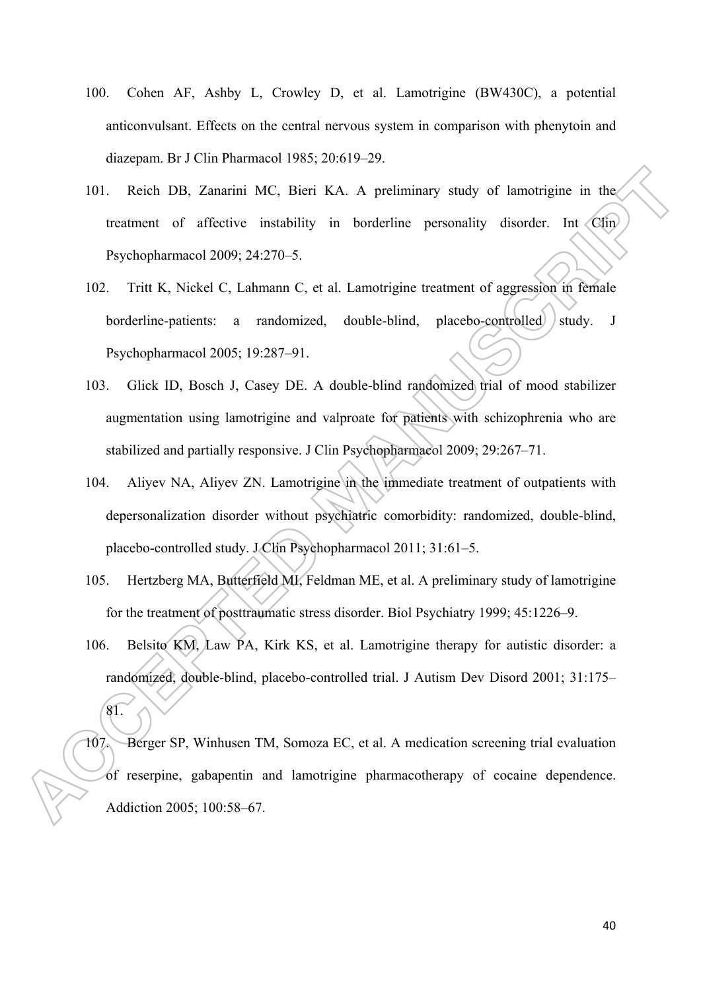- 100. Cohen AF, Ashby L, Crowley D, et al. Lamotrigine (BW430C), a potential anticonvulsant. Effects on the central nervous system in comparison with phenytoin and diazepam. Br J Clin Pharmacol 1985; 20:619–29.
- 101. Reich DB, Zanarini MC, Bieri KA. A preliminary study of lamotrigine in the treatment of affective instability in borderline personality disorder. Int Clin Psychopharmacol 2009; 24:270–5.
- 102. Tritt K, Nickel C, Lahmann C, et al. Lamotrigine treatment of aggression in female borderline-patients: a randomized, double-blind, placebo-controlled study. J Psychopharmacol 2005; 19:287–91.
- 103. Glick ID, Bosch J, Casey DE. A double-blind randomized trial of mood stabilizer augmentation using lamotrigine and valproate for patients with schizophrenia who are stabilized and partially responsive. J Clin Psychopharmacol 2009; 29:267–71.
- 104. Aliyev NA, Aliyev ZN. Lamotrigine in the immediate treatment of outpatients with depersonalization disorder without psychiatric comorbidity: randomized, double-blind, placebo-controlled study. J Clin Psychopharmacol 2011; 31:61–5.
- 105. Hertzberg MA, Butterfield MI, Feldman ME, et al. A preliminary study of lamotrigine for the treatment of posttraumatic stress disorder. Biol Psychiatry 1999; 45:1226–9.
- 106. Belsito KM, Law PA, Kirk KS, et al. Lamotrigine therapy for autistic disorder: a randomized, double-blind, placebo-controlled trial. J Autism Dev Disord 2001; 31:175– 81.
- 107. Berger SP, Winhusen TM, Somoza EC, et al. A medication screening trial evaluation of reserpine, gabapentin and lamotrigine pharmacotherapy of cocaine dependence. Addiction 2005; 100:58–67.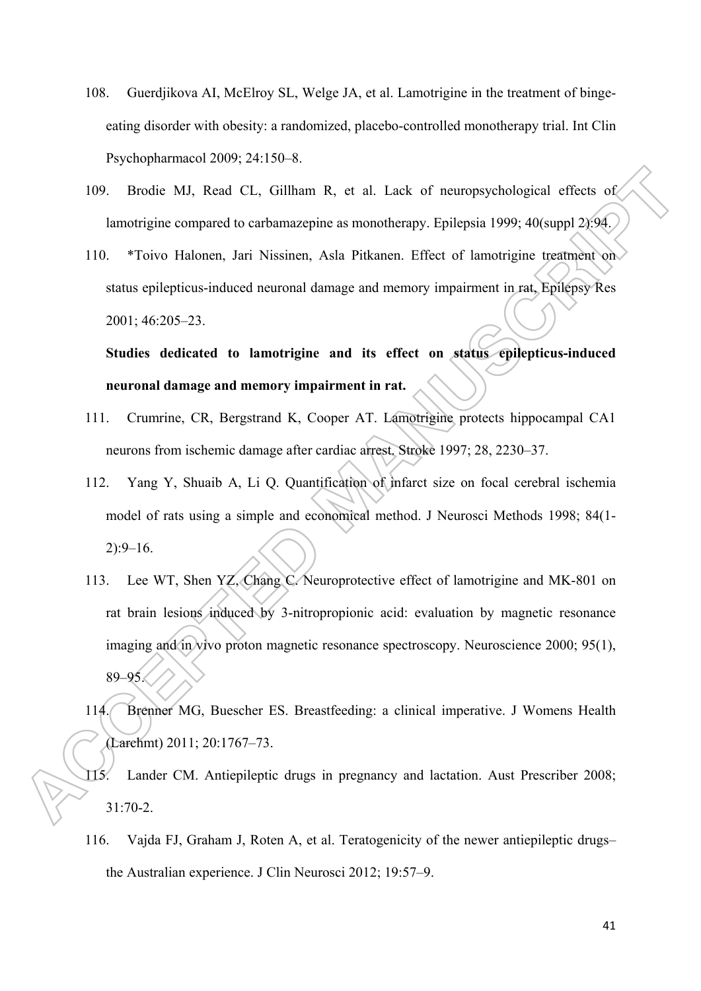- 108. Guerdjikova AI, McElroy SL, Welge JA, et al. Lamotrigine in the treatment of bingeeating disorder with obesity: a randomized, placebo-controlled monotherapy trial. Int Clin Psychopharmacol 2009; 24:150–8.
- 109. Brodie MJ, Read CL, Gillham R, et al. Lack of neuropsychological effects of lamotrigine compared to carbamazepine as monotherapy. Epilepsia 1999; 40(suppl 2):94.
- 110. \*Toivo Halonen, Jari Nissinen, Asla Pitkanen. Effect of lamotrigine treatment on status epilepticus-induced neuronal damage and memory impairment in rat, Epilepsy Res 2001; 46:205–23.

**Studies dedicated to lamotrigine and its effect on status epilepticus-induced neuronal damage and memory impairment in rat.** 

- 111. Crumrine, CR, Bergstrand K, Cooper AT. Lamotrigine protects hippocampal CA1 neurons from ischemic damage after cardiac arrest. Stroke 1997; 28, 2230–37.
- 112. Yang Y, Shuaib A, Li Q. Quantification of infarct size on focal cerebral ischemia model of rats using a simple and economical method. J Neurosci Methods 1998; 84(1- 2):9–16.
- 113. Lee WT, Shen YZ, Chang C. Neuroprotective effect of lamotrigine and MK-801 on rat brain lesions induced by 3-nitropropionic acid: evaluation by magnetic resonance imaging and in vivo proton magnetic resonance spectroscopy. Neuroscience 2000; 95(1), 89–95.
- 114. Brenner MG, Buescher ES. Breastfeeding: a clinical imperative. J Womens Health (Larchmt) 2011; 20:1767–73.
- 115. Lander CM. Antiepileptic drugs in pregnancy and lactation. Aust Prescriber 2008; 31:70-2.
- 116. Vajda FJ, Graham J, Roten A, et al. Teratogenicity of the newer antiepileptic drugs– the Australian experience. J Clin Neurosci 2012; 19:57–9.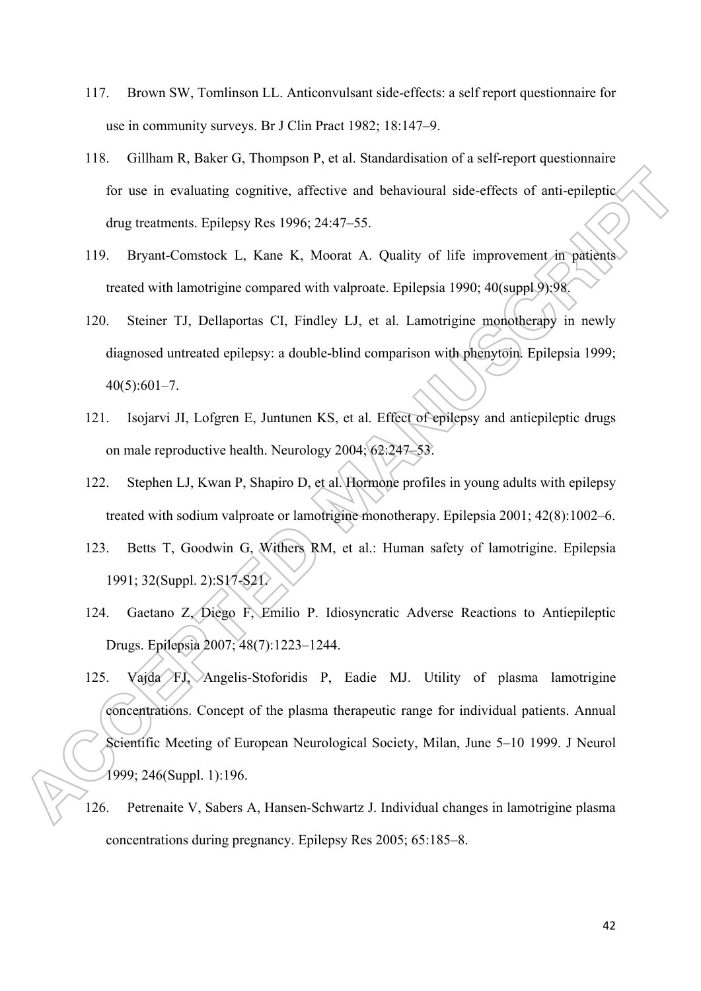- 117. Brown SW, Tomlinson LL. Anticonvulsant side-effects: a self report questionnaire for use in community surveys. Br J Clin Pract 1982; 18:147–9.
- 118. Gillham R, Baker G, Thompson P, et al. Standardisation of a self-report questionnaire for use in evaluating cognitive, affective and behavioural side-effects of anti-epileptic drug treatments. Epilepsy Res 1996; 24:47–55.
- 119. Bryant-Comstock L, Kane K, Moorat A. Quality of life improvement in patients treated with lamotrigine compared with valproate. Epilepsia 1990; 40(suppl 9):98.
- 120. Steiner TJ, Dellaportas CI, Findley LJ, et al. Lamotrigine monotherapy in newly diagnosed untreated epilepsy: a double-blind comparison with phenytoin. Epilepsia 1999;  $40(5):601-7.$
- 121. Isojarvi JI, Lofgren E, Juntunen KS, et al. Effect of epilepsy and antiepileptic drugs on male reproductive health. Neurology 2004; 62:247–53.
- 122. Stephen LJ, Kwan P, Shapiro D, et al. Hormone profiles in young adults with epilepsy treated with sodium valproate or lamotrigine monotherapy. Epilepsia 2001; 42(8):1002–6.
- 123. Betts T, Goodwin G, Withers RM, et al.: Human safety of lamotrigine. Epilepsia 1991; 32(Suppl. 2):S17-S21.
- 124. Gaetano Z, Diego F, Emilio P. Idiosyncratic Adverse Reactions to Antiepileptic Drugs. Epilepsia 2007; 48(7):1223–1244.
- 125. Vajda FJ, Angelis-Stoforidis P, Eadie MJ. Utility of plasma lamotrigine concentrations. Concept of the plasma therapeutic range for individual patients. Annual Scientific Meeting of European Neurological Society, Milan, June 5–10 1999. J Neurol 1999; 246(Suppl. 1):196.
- 126. Petrenaite V, Sabers A, Hansen-Schwartz J. Individual changes in lamotrigine plasma concentrations during pregnancy. Epilepsy Res 2005; 65:185–8.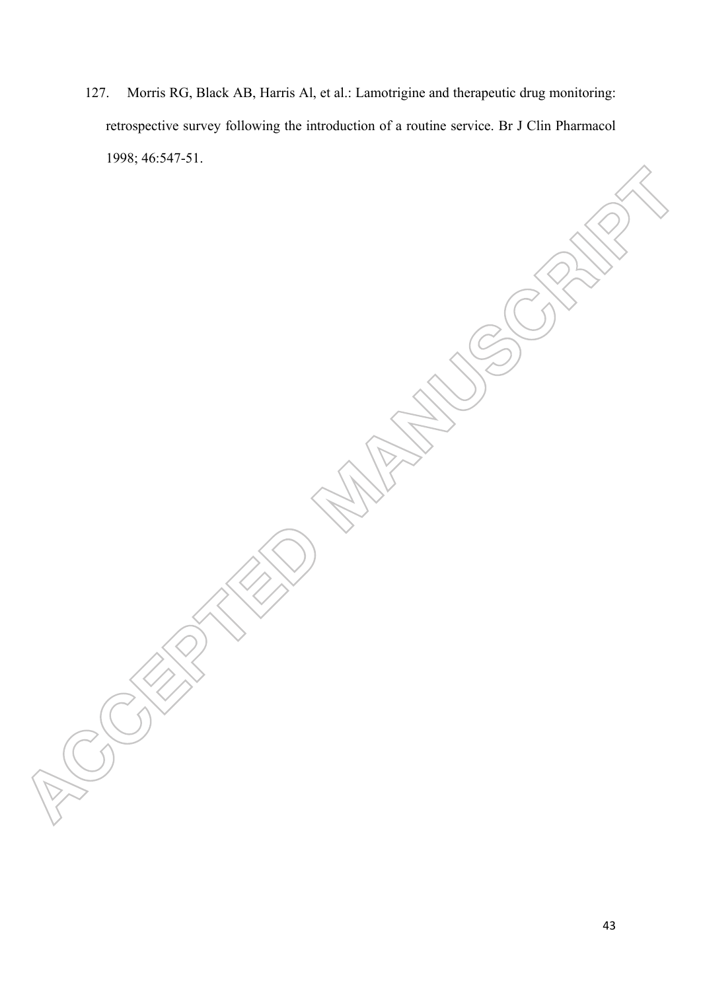127. Morris RG, Black AB, Harris Al, et al.: Lamotrigine and therapeutic drug monitoring: retrospective survey following the introduction of a routine service. Br J Clin Pharmacol 1998; 46:547-51.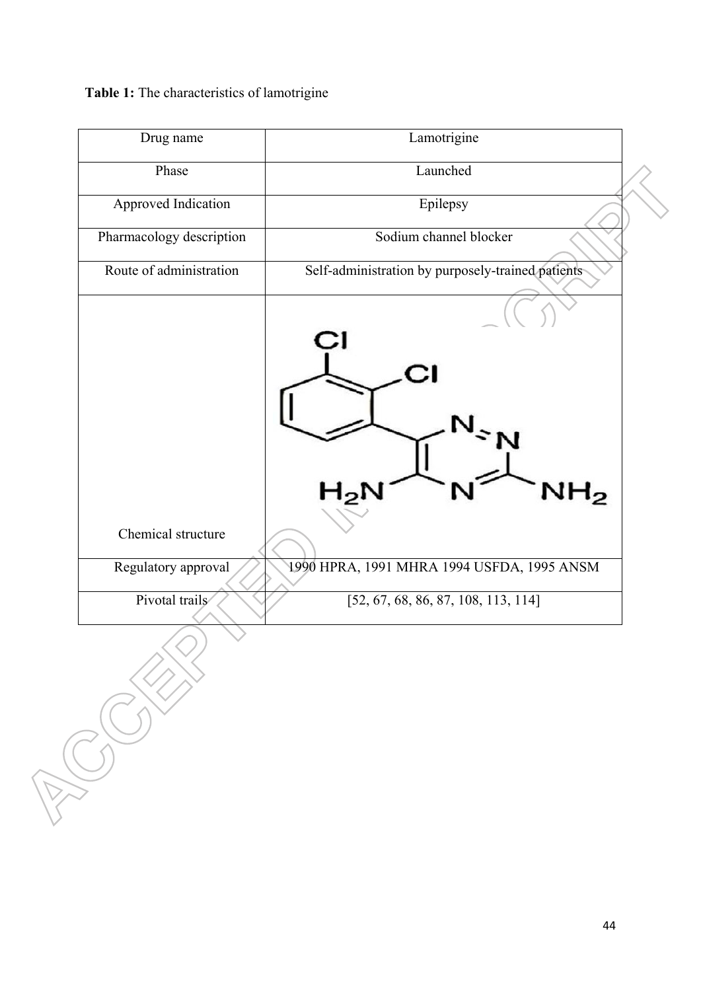**Table 1:** The characteristics of lamotrigine

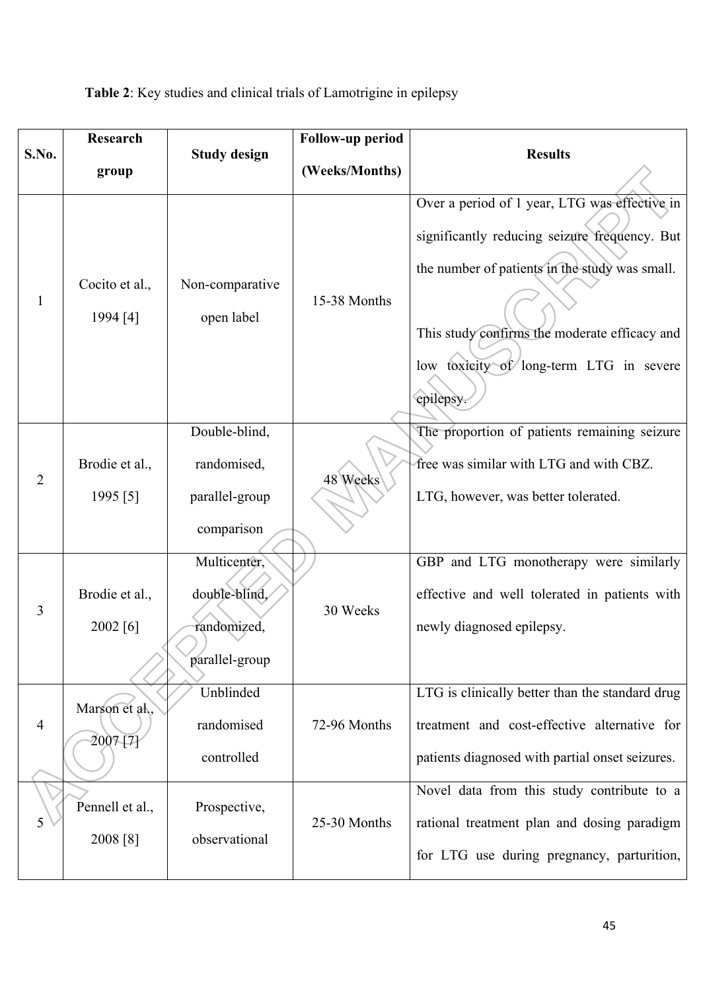|  | Table 2: Key studies and clinical trials of Lamotrigine in epilepsy |
|--|---------------------------------------------------------------------|
|--|---------------------------------------------------------------------|

| Research       |                             |                                                                | Follow-up period |                                                                                                                                                                                                                                                           |  |  |
|----------------|-----------------------------|----------------------------------------------------------------|------------------|-----------------------------------------------------------------------------------------------------------------------------------------------------------------------------------------------------------------------------------------------------------|--|--|
| S.No.          | group                       | <b>Study design</b>                                            | (Weeks/Months)   | <b>Results</b>                                                                                                                                                                                                                                            |  |  |
| $\mathbf{1}$   | Cocito et al.,<br>1994 [4]  | Non-comparative<br>open label                                  | 15-38 Months     | Over a period of 1 year, LTG was effective in<br>significantly reducing seizure frequency. But<br>the number of patients in the study was small.<br>This study confirms the moderate efficacy and<br>low toxicity of long-term LTG in severe<br>epilepsy. |  |  |
| $\overline{2}$ | Brodie et al.,<br>1995 [5]  | Double-blind,<br>randomised,<br>parallel-group<br>comparison   | 48 Weeks         | The proportion of patients remaining seizure<br>free was similar with LTG and with CBZ.<br>LTG, however, was better tolerated.                                                                                                                            |  |  |
| 3              | Brodie et al.,<br>2002 [6]  | Multicenter,<br>double-blind,<br>randomized,<br>parallel-group | 30 Weeks         | GBP and LTG monotherapy were similarly<br>effective and well tolerated in patients with<br>newly diagnosed epilepsy.                                                                                                                                      |  |  |
| 4              | Marson et al.,<br>2007 [7]  | Unblinded<br>randomised<br>controlled                          | 72-96 Months     | LTG is clinically better than the standard drug<br>treatment and cost-effective alternative for<br>patients diagnosed with partial onset seizures.                                                                                                        |  |  |
| 5              | Pennell et al.,<br>2008 [8] | Prospective,<br>observational                                  | 25-30 Months     | Novel data from this study contribute to a<br>rational treatment plan and dosing paradigm<br>for LTG use during pregnancy, parturition,                                                                                                                   |  |  |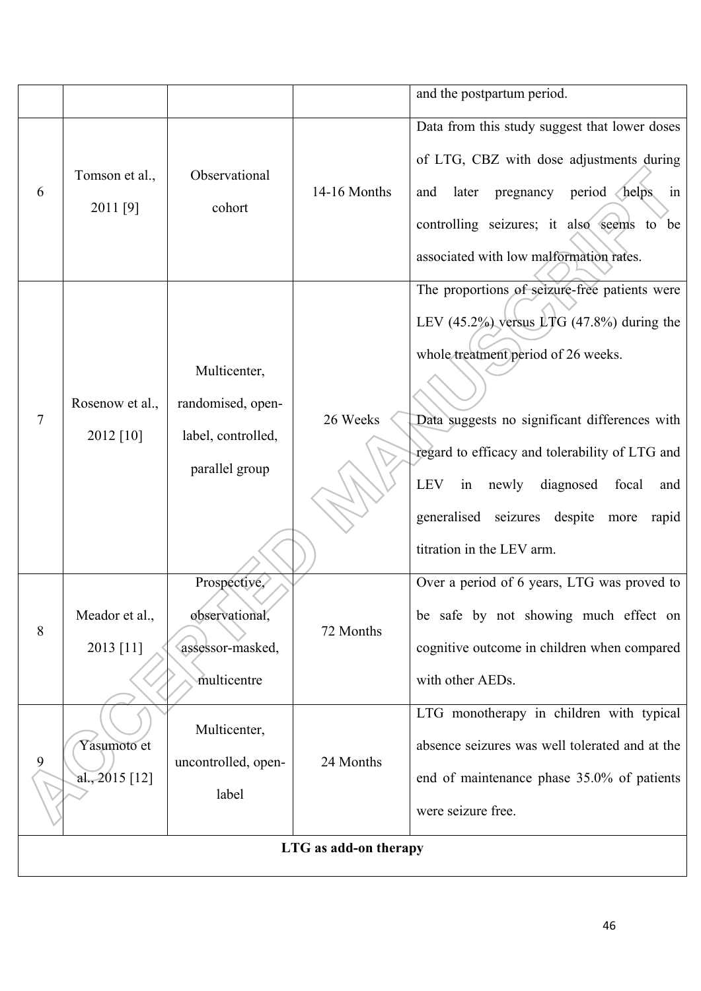|   |                                 |                                                                           | LTG as add-on therapy |                                                                                                                                                                                                                                                                                                                                                                                 |
|---|---------------------------------|---------------------------------------------------------------------------|-----------------------|---------------------------------------------------------------------------------------------------------------------------------------------------------------------------------------------------------------------------------------------------------------------------------------------------------------------------------------------------------------------------------|
| 9 | Yasumoto et<br>al., $2015$ [12] | Multicenter,<br>uncontrolled, open-<br>label                              | 24 Months             | LTG monotherapy in children with typical<br>absence seizures was well tolerated and at the<br>end of maintenance phase 35.0% of patients<br>were seizure free.                                                                                                                                                                                                                  |
| 8 | Meador et al.,<br>2013 [11]     | Prospective,<br>observational,<br>assessor-masked,<br>multicentre         | 72 Months             | Over a period of 6 years, LTG was proved to<br>be safe by not showing much effect on<br>cognitive outcome in children when compared<br>with other AEDs.                                                                                                                                                                                                                         |
| 7 | Rosenow et al.,<br>2012 [10]    | Multicenter,<br>randomised, open-<br>label, controlled,<br>parallel group | 26 Weeks              | The proportions of seizure-free patients were<br>LEV $(45.2\%)$ versus LTG $(47.8\%)$ during the<br>whole treatment period of 26 weeks.<br>Data suggests no significant differences with<br>regard to efficacy and tolerability of LTG and<br><b>LEV</b><br>diagnosed<br>in<br>newly<br>focal<br>and<br>generalised seizures despite more<br>rapid<br>titration in the LEV arm. |
| 6 | Tomson et al.,<br>2011 [9]      | Observational<br>cohort                                                   | 14-16 Months          | Data from this study suggest that lower doses<br>of LTG, CBZ with dose adjustments during<br>pregnancy period helps<br>later<br>and<br>in<br>controlling seizures; it also seems to be<br>associated with low malformation rates.                                                                                                                                               |
|   |                                 |                                                                           |                       | and the postpartum period.                                                                                                                                                                                                                                                                                                                                                      |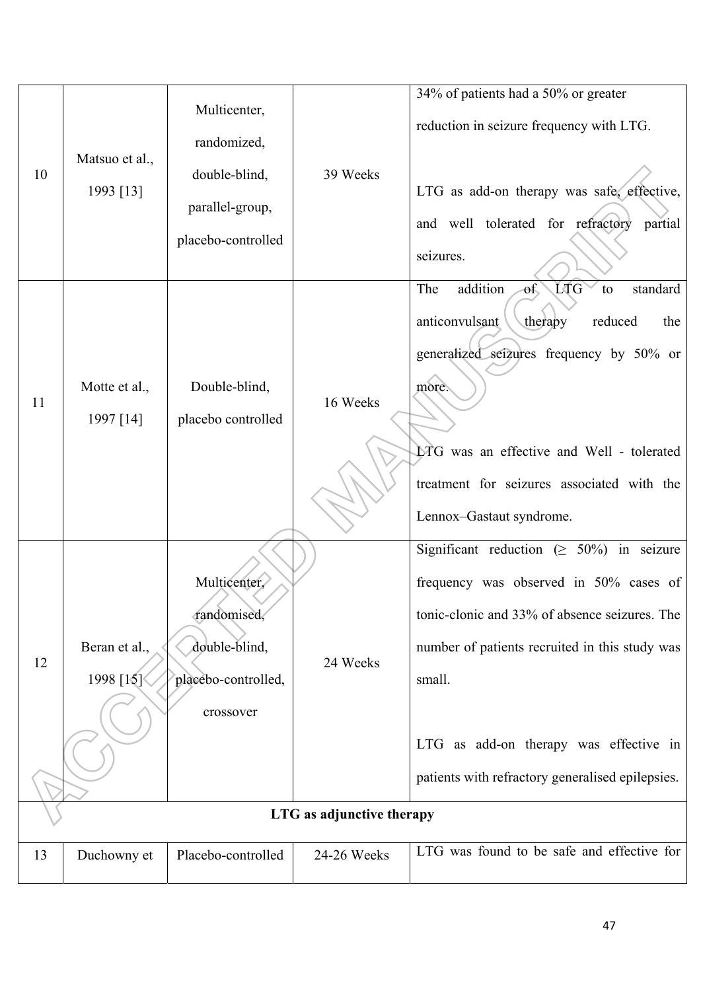| 10 | Matsuo et al.,<br>1993 [13] | Multicenter,<br>randomized,<br>double-blind,<br>parallel-group,<br>placebo-controlled | 39 Weeks                              | 34% of patients had a 50% or greater<br>reduction in seizure frequency with LTG.<br>LTG as add-on therapy was safe, effective,<br>and well tolerated for refractory<br>partial<br>seizures.                                                                                                           |
|----|-----------------------------|---------------------------------------------------------------------------------------|---------------------------------------|-------------------------------------------------------------------------------------------------------------------------------------------------------------------------------------------------------------------------------------------------------------------------------------------------------|
| 11 | Motte et al.,<br>1997 [14]  | Double-blind,<br>placebo controlled                                                   | 16 Weeks                              | LTG<br>The<br>addition<br><sub>of</sub><br>standard<br>to<br>anticonvulsant<br>reduced<br>therapy<br>the<br>generalized seizures frequency by 50% or<br>more.<br>LTG was an effective and Well - tolerated<br>treatment for seizures associated with the<br>Lennox-Gastaut syndrome.                  |
| 12 | Beran et al.,<br>1998 [15]  | Multicenter.<br>randomised,<br>double-blind,<br>placebo-controlled,<br>crossover      | 24 Weeks<br>LTG as adjunctive therapy | Significant reduction ( $\geq 50\%$ ) in seizure<br>frequency was observed in 50% cases of<br>tonic-clonic and 33% of absence seizures. The<br>number of patients recruited in this study was<br>small.<br>LTG as add-on therapy was effective in<br>patients with refractory generalised epilepsies. |
|    |                             |                                                                                       |                                       |                                                                                                                                                                                                                                                                                                       |
| 13 | Duchowny et                 | Placebo-controlled                                                                    | 24-26 Weeks                           | LTG was found to be safe and effective for                                                                                                                                                                                                                                                            |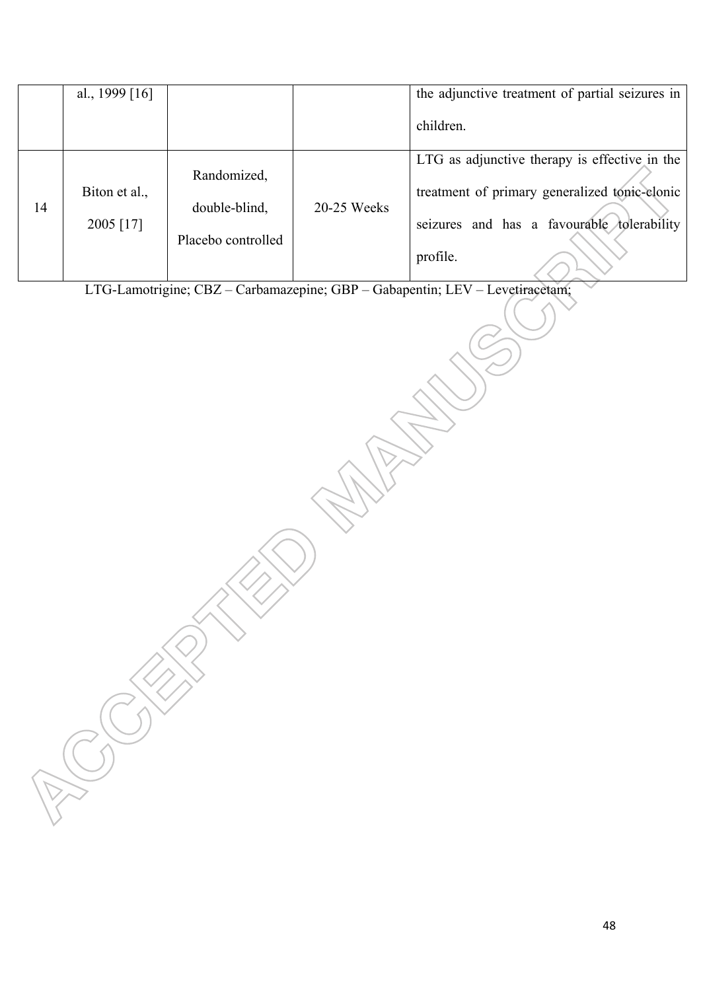|    | al., 1999 $[16]$           |                                                    |             | the adjunctive treatment of partial seizures in                                                                                                          |
|----|----------------------------|----------------------------------------------------|-------------|----------------------------------------------------------------------------------------------------------------------------------------------------------|
|    |                            |                                                    |             | children.                                                                                                                                                |
| 14 | Biton et al.,<br>2005 [17] | Randomized,<br>double-blind,<br>Placebo controlled | 20-25 Weeks | LTG as adjunctive therapy is effective in the<br>treatment of primary generalized tonic-clonic<br>seizures and has a favourable tolerability<br>profile. |

LTG-Lamotrigine; CBZ – Carbamazepine; GBP – Gabapentin; LEV – Levetiracetam;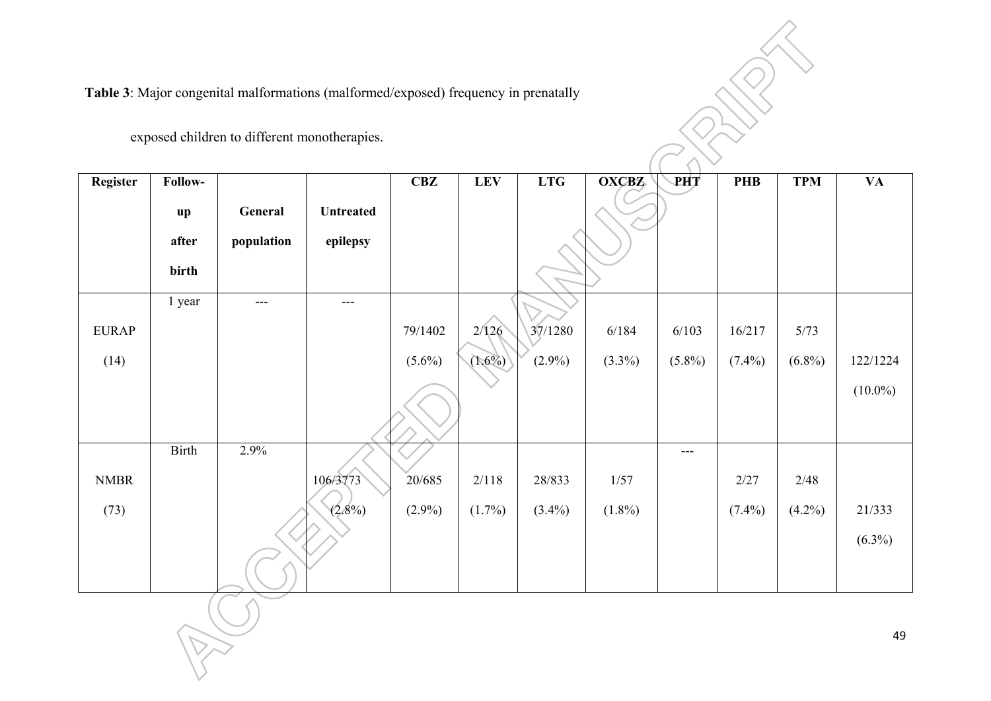**Table 3**: Major congenital malformations (malformed/exposed) frequency in prenatally

exposed children to different monotherapies.

RUT

| <b>Register</b> | Follow-                                  |                       |                              | <b>CBZ</b> | <b>LEV</b> | <b>LTG</b> | $\overline{\text{OX}}$ CBZ | <b>PHT</b> | <b>PHB</b> | <b>TPM</b> | <b>VA</b>  |
|-----------------|------------------------------------------|-----------------------|------------------------------|------------|------------|------------|----------------------------|------------|------------|------------|------------|
|                 | $\mathbf{u}\mathbf{p}$<br>after<br>birth | General<br>population | <b>Untreated</b><br>epilepsy |            |            |            |                            |            |            |            |            |
|                 | 1 year                                   | $---$                 | $---$                        |            |            |            |                            |            |            |            |            |
| <b>EURAP</b>    |                                          |                       |                              | 79/1402    | 2/126      | 37/1280    | 6/184                      | 6/103      | 16/217     | 5/73       |            |
| (14)            |                                          |                       |                              | $(5.6\%)$  | $(1.6\%)$  | $(2.9\%)$  | $(3.3\%)$                  | $(5.8\%)$  | $(7.4\%)$  | $(6.8\%)$  | 122/1224   |
|                 |                                          |                       |                              |            |            |            |                            |            |            |            | $(10.0\%)$ |
|                 | Birth                                    | 2.9%                  |                              |            |            |            |                            | ---        |            |            |            |
| <b>NMBR</b>     |                                          |                       | 106/3773                     | 20/685     | 2/118      | 28/833     | 1/57                       |            | 2/27       | 2/48       |            |
| (73)            |                                          |                       | $(2.8\%)$                    | $(2.9\%)$  | $(1.7\%)$  | $(3.4\%)$  | $(1.8\%)$                  |            | $(7.4\%)$  | $(4.2\%)$  | 21/333     |
|                 |                                          |                       |                              |            |            |            |                            |            |            |            | $(6.3\%)$  |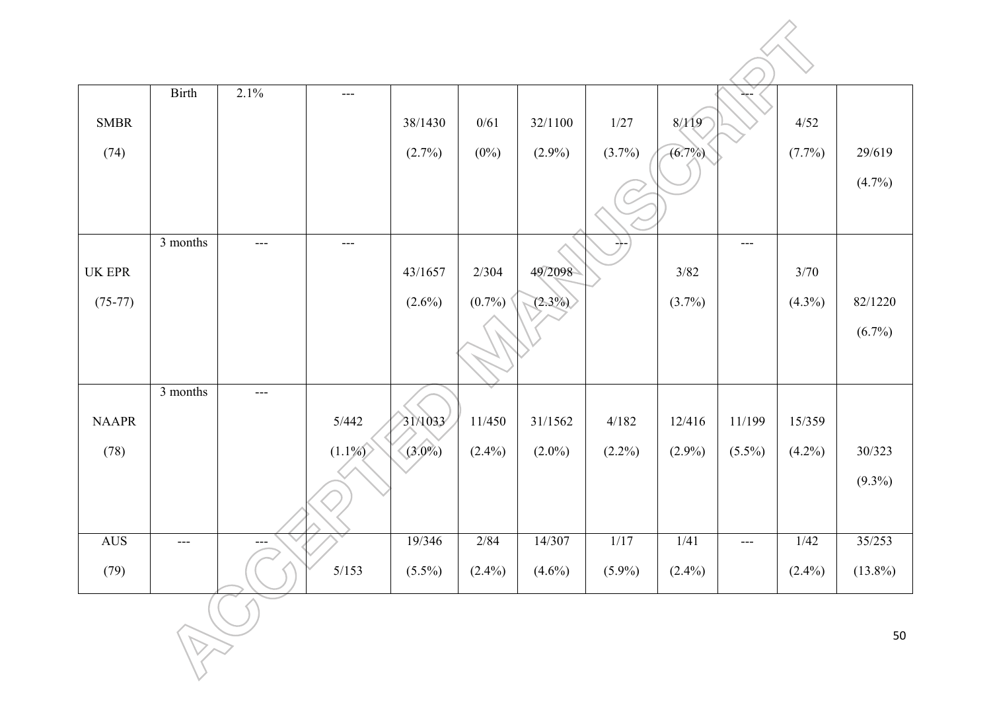|                                       | <b>Birth</b> | 2.1%  | $---$     |           |           |           |               |           |           |           |            |
|---------------------------------------|--------------|-------|-----------|-----------|-----------|-----------|---------------|-----------|-----------|-----------|------------|
| <b>SMBR</b>                           |              |       |           | 38/1430   | 0/61      | 32/1100   | 1/27          | 8/119     |           | 4/52      |            |
| (74)                                  |              |       |           | (2.7%)    | $(0\%)$   | $(2.9\%)$ | $(3.7\%)$     | $(6.7\%)$ |           | (7.7%)    | 29/619     |
|                                       |              |       |           |           |           |           |               |           |           |           | $(4.7\%)$  |
|                                       | 3 months     | $---$ | $---$     |           |           |           | $\rightarrow$ |           | $---$     |           |            |
| $\ensuremath{\mathsf{UK}}\xspace$ EPR |              |       |           | 43/1657   | 2/304     | 49/2098   |               | $3/82$    |           | 3/70      |            |
| $(75-77)$                             |              |       |           | $(2.6\%)$ | $(0.7\%)$ | $(2.3\%)$ |               | $(3.7\%)$ |           | $(4.3\%)$ | 82/1220    |
|                                       |              |       |           |           |           |           |               |           |           |           | $(6.7\%)$  |
|                                       |              |       |           |           |           |           |               |           |           |           |            |
|                                       | 3 months     | $---$ |           |           |           |           |               |           |           |           |            |
| <b>NAAPR</b>                          |              |       | 5/442     | 31/1033   | 11/450    | 31/1562   | 4/182         | 12/416    | 11/199    | 15/359    |            |
| (78)                                  |              |       | $(1.1\%)$ | $(3.0\%)$ | $(2.4\%)$ | $(2.0\%)$ | $(2.2\%)$     | $(2.9\%)$ | $(5.5\%)$ | $(4.2\%)$ | 30/323     |
|                                       |              |       |           |           |           |           |               |           |           |           | $(9.3\%)$  |
| AUS                                   | $---$        | $---$ |           | 19/346    | 2/84      | 14/307    | 1/17          | 1/41      | $---$     | 1/42      | 35/253     |
| (79)                                  |              |       | $5/153$   | $(5.5\%)$ | $(2.4\%)$ | $(4.6\%)$ | $(5.9\%)$     | $(2.4\%)$ |           | $(2.4\%)$ | $(13.8\%)$ |
|                                       |              |       |           |           |           |           |               |           |           |           | 50         |